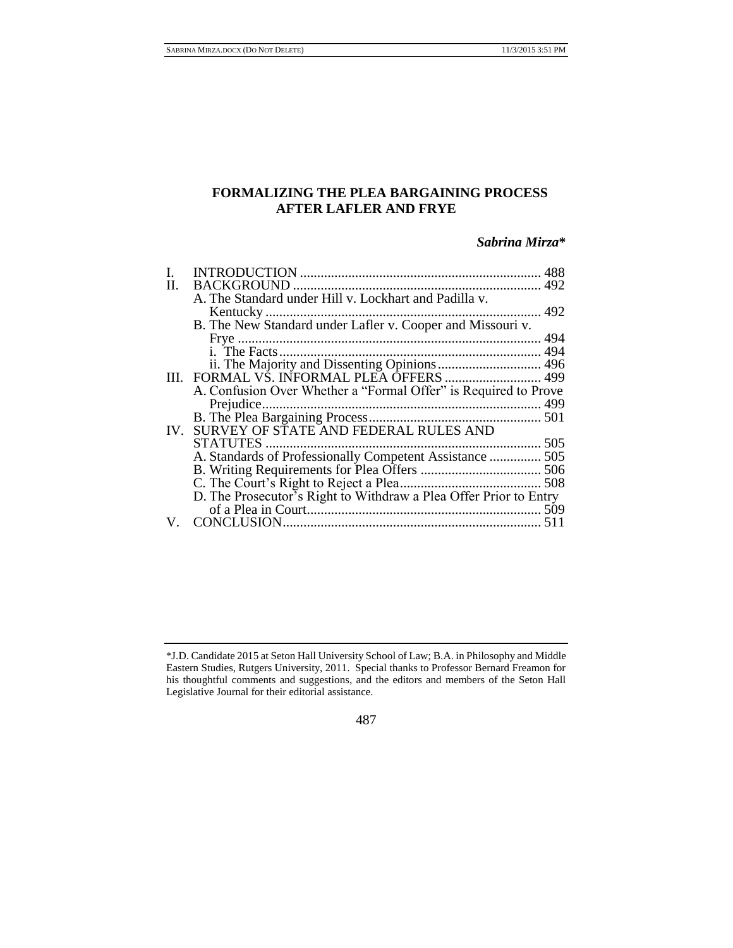# **FORMALIZING THE PLEA BARGAINING PROCESS AFTER LAFLER AND FRYE**

# *Sabrina Mirza***\***

|    |                                                                   | 488 |
|----|-------------------------------------------------------------------|-----|
| Н. | <b>BACKGROUND</b>                                                 |     |
|    | A. The Standard under Hill v. Lockhart and Padilla v.             |     |
|    |                                                                   |     |
|    | B. The New Standard under Lafler v. Cooper and Missouri v.        |     |
|    |                                                                   |     |
|    |                                                                   |     |
|    |                                                                   |     |
|    | III. FORMAL VŠ. INFORMAL PLEA ÔFFERS  499                         |     |
|    | A. Confusion Over Whether a "Formal Offer" is Required to Prove   |     |
|    |                                                                   |     |
|    |                                                                   |     |
|    | IV. SURVEY OF STATE AND FEDERAL RULES AND                         |     |
|    | STATUTES                                                          |     |
|    | A. Standards of Professionally Competent Assistance  505          |     |
|    |                                                                   |     |
|    |                                                                   |     |
|    | D. The Prosecutor's Right to Withdraw a Plea Offer Prior to Entry |     |
|    |                                                                   | 509 |
| V. | CONCLUSION                                                        |     |

### 487

<sup>\*</sup>J.D. Candidate 2015 at Seton Hall University School of Law; B.A. in Philosophy and Middle Eastern Studies, Rutgers University, 2011. Special thanks to Professor Bernard Freamon for his thoughtful comments and suggestions, and the editors and members of the Seton Hall Legislative Journal for their editorial assistance.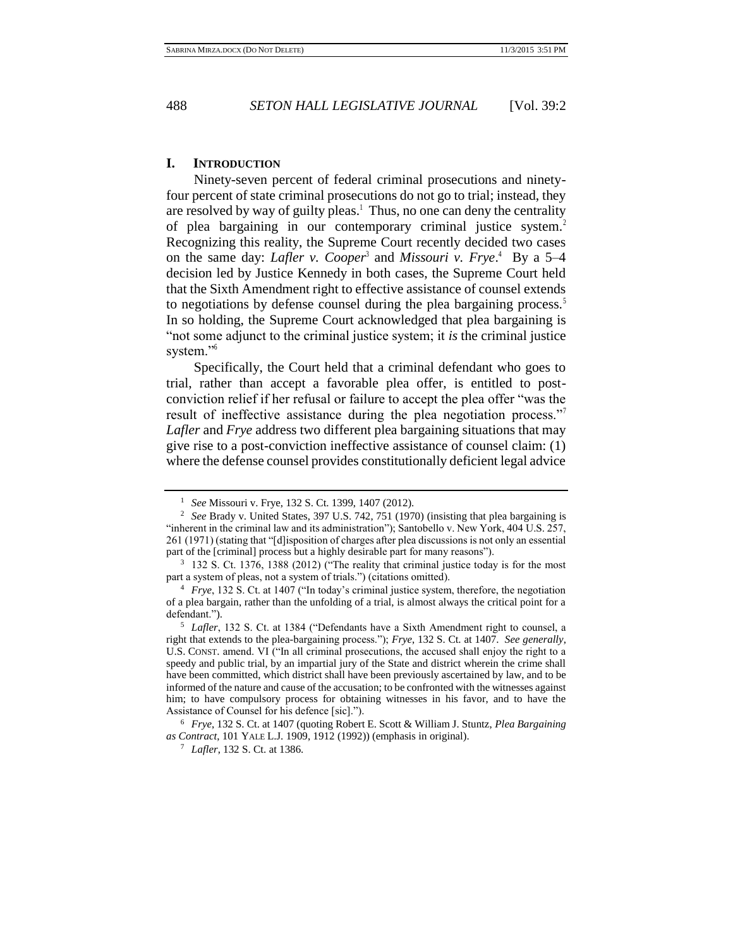### **I. INTRODUCTION**

Ninety-seven percent of federal criminal prosecutions and ninetyfour percent of state criminal prosecutions do not go to trial; instead, they are resolved by way of guilty pleas.<sup>1</sup> Thus, no one can deny the centrality of plea bargaining in our contemporary criminal justice system.<sup>2</sup> Recognizing this reality, the Supreme Court recently decided two cases on the same day: *Lafler v. Cooper*<sup>3</sup> and *Missouri v. Frye*.<sup>4</sup> By a 5–4 decision led by Justice Kennedy in both cases, the Supreme Court held that the Sixth Amendment right to effective assistance of counsel extends to negotiations by defense counsel during the plea bargaining process.<sup>5</sup> In so holding, the Supreme Court acknowledged that plea bargaining is "not some adjunct to the criminal justice system; it *is* the criminal justice system."<sup>6</sup>

Specifically, the Court held that a criminal defendant who goes to trial, rather than accept a favorable plea offer, is entitled to postconviction relief if her refusal or failure to accept the plea offer "was the result of ineffective assistance during the plea negotiation process."<sup>7</sup> *Lafler* and *Frye* address two different plea bargaining situations that may give rise to a post-conviction ineffective assistance of counsel claim: (1) where the defense counsel provides constitutionally deficient legal advice

<sup>1</sup> *See* Missouri v. Frye, 132 S. Ct. 1399, 1407 (2012).

<sup>2</sup> *See* Brady v. United States, 397 U.S. 742, 751 (1970) (insisting that plea bargaining is "inherent in the criminal law and its administration"); Santobello v. New York, 404 U.S. 257, 261 (1971) (stating that "[d]isposition of charges after plea discussions is not only an essential part of the [criminal] process but a highly desirable part for many reasons").

<sup>&</sup>lt;sup>3</sup> 132 S. Ct. 1376, 1388 (2012) ("The reality that criminal justice today is for the most part a system of pleas, not a system of trials.") (citations omitted).

<sup>4</sup> *Frye*, 132 S. Ct. at 1407 ("In today's criminal justice system, therefore, the negotiation of a plea bargain, rather than the unfolding of a trial, is almost always the critical point for a defendant.").

<sup>5</sup> *Lafler*, 132 S. Ct. at 1384 ("Defendants have a Sixth Amendment right to counsel, a right that extends to the plea-bargaining process."); *Frye*, 132 S. Ct. at 1407. *See generally*, U.S. CONST. amend. VI ("In all criminal prosecutions, the accused shall enjoy the right to a speedy and public trial, by an impartial jury of the State and district wherein the crime shall have been committed, which district shall have been previously ascertained by law, and to be informed of the nature and cause of the accusation; to be confronted with the witnesses against him; to have compulsory process for obtaining witnesses in his favor, and to have the Assistance of Counsel for his defence [sic].").

<sup>6</sup> *Frye*, 132 S. Ct. at 1407 (quoting Robert E. Scott & William J. Stuntz, *Plea Bargaining as Contract*, 101 YALE L.J. 1909, 1912 (1992)) (emphasis in original).

<sup>7</sup> *Lafler*, 132 S. Ct. at 1386.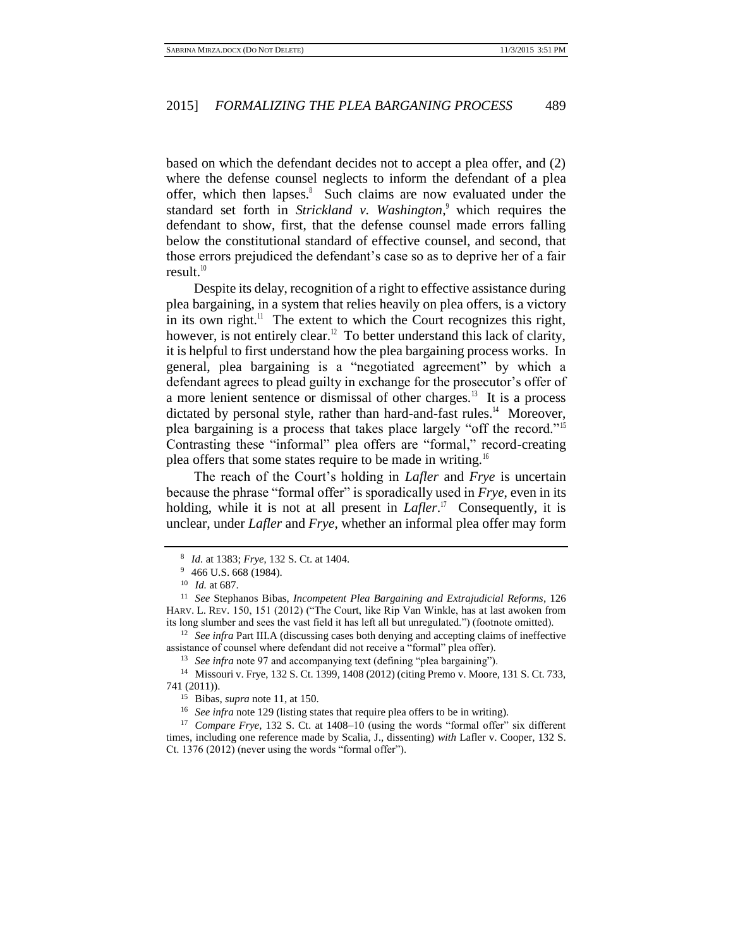based on which the defendant decides not to accept a plea offer, and (2) where the defense counsel neglects to inform the defendant of a plea offer, which then lapses.<sup>8</sup> Such claims are now evaluated under the standard set forth in *Strickland v. Washington*,<sup>9</sup> which requires the defendant to show, first, that the defense counsel made errors falling below the constitutional standard of effective counsel, and second, that those errors prejudiced the defendant's case so as to deprive her of a fair result. $10$ 

Despite its delay, recognition of a right to effective assistance during plea bargaining, in a system that relies heavily on plea offers, is a victory in its own right.<sup>11</sup> The extent to which the Court recognizes this right, however, is not entirely clear.<sup>12</sup> To better understand this lack of clarity, it is helpful to first understand how the plea bargaining process works. In general, plea bargaining is a "negotiated agreement" by which a defendant agrees to plead guilty in exchange for the prosecutor's offer of a more lenient sentence or dismissal of other charges.<sup>13</sup> It is a process dictated by personal style, rather than hard-and-fast rules.<sup>14</sup> Moreover, plea bargaining is a process that takes place largely "off the record."<sup>15</sup> Contrasting these "informal" plea offers are "formal," record-creating plea offers that some states require to be made in writing.<sup>16</sup>

The reach of the Court's holding in *Lafler* and *Frye* is uncertain because the phrase "formal offer" is sporadically used in *Frye*, even in its holding, while it is not at all present in *Lafler*.<sup>17</sup> Consequently, it is unclear, under *Lafler* and *Frye*, whether an informal plea offer may form

<sup>12</sup> *See infra* Part III.A (discussing cases both denying and accepting claims of ineffective assistance of counsel where defendant did not receive a "formal" plea offer).

<sup>13</sup> *See infra* note 97 and accompanying text (defining "plea bargaining").

<sup>8</sup> *Id.* at 1383; *Frye*, 132 S. Ct. at 1404.

<sup>&</sup>lt;sup>9</sup> 466 U.S. 668 (1984).

<sup>10</sup> *Id.* at 687.

<sup>11</sup> *See* Stephanos Bibas, *Incompetent Plea Bargaining and Extrajudicial Reforms*, 126 HARV. L. REV. 150, 151 (2012) ("The Court, like Rip Van Winkle, has at last awoken from its long slumber and sees the vast field it has left all but unregulated.") (footnote omitted).

<sup>14</sup> Missouri v. Frye, 132 S. Ct. 1399, 1408 (2012) (citing Premo v. Moore, 131 S. Ct. 733, 741 (2011)).

<sup>15</sup> Bibas, *supra* note 11, at 150.

<sup>&</sup>lt;sup>16</sup> *See infra* note 129 (listing states that require plea offers to be in writing).

<sup>&</sup>lt;sup>17</sup> *Compare Frye*, 132 S. Ct. at 1408–10 (using the words "formal offer" six different times, including one reference made by Scalia, J., dissenting) *with* Lafler v. Cooper, 132 S. Ct. 1376 (2012) (never using the words "formal offer").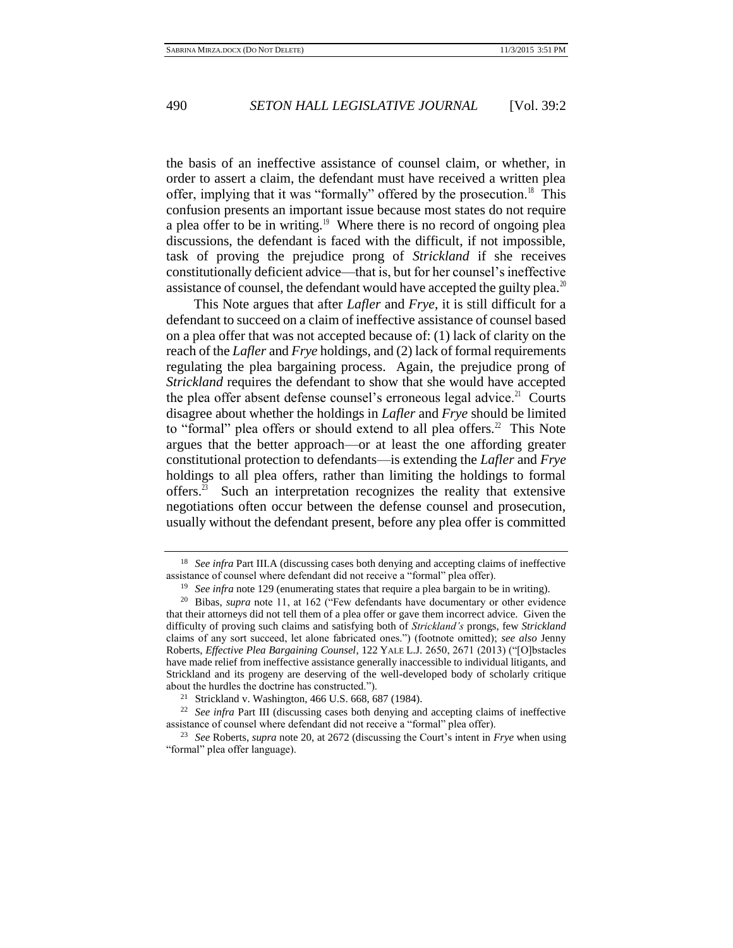the basis of an ineffective assistance of counsel claim, or whether, in order to assert a claim, the defendant must have received a written plea offer, implying that it was "formally" offered by the prosecution.<sup>18</sup> This confusion presents an important issue because most states do not require a plea offer to be in writing.<sup>19</sup> Where there is no record of ongoing plea discussions, the defendant is faced with the difficult, if not impossible, task of proving the prejudice prong of *Strickland* if she receives constitutionally deficient advice—that is, but for her counsel's ineffective assistance of counsel, the defendant would have accepted the guilty plea.<sup>20</sup>

This Note argues that after *Lafler* and *Frye*, it is still difficult for a defendant to succeed on a claim of ineffective assistance of counsel based on a plea offer that was not accepted because of: (1) lack of clarity on the reach of the *Lafler* and *Frye* holdings, and (2) lack of formal requirements regulating the plea bargaining process. Again, the prejudice prong of *Strickland* requires the defendant to show that she would have accepted the plea offer absent defense counsel's erroneous legal advice.<sup>21</sup> Courts disagree about whether the holdings in *Lafler* and *Frye* should be limited to "formal" plea offers or should extend to all plea offers. $2^2$  This Note argues that the better approach—or at least the one affording greater constitutional protection to defendants—is extending the *Lafler* and *Frye*  holdings to all plea offers, rather than limiting the holdings to formal offers.<sup>23</sup> Such an interpretation recognizes the reality that extensive negotiations often occur between the defense counsel and prosecution, usually without the defendant present, before any plea offer is committed

<sup>&</sup>lt;sup>18</sup> *See infra Part III.A* (discussing cases both denying and accepting claims of ineffective assistance of counsel where defendant did not receive a "formal" plea offer).

<sup>&</sup>lt;sup>19</sup> *See infra* note 129 (enumerating states that require a plea bargain to be in writing).

<sup>20</sup> Bibas, *supra* note 11, at 162 ("Few defendants have documentary or other evidence that their attorneys did not tell them of a plea offer or gave them incorrect advice. Given the difficulty of proving such claims and satisfying both of *Strickland's* prongs, few *Strickland*  claims of any sort succeed, let alone fabricated ones.") (footnote omitted); *see also* Jenny Roberts, *Effective Plea Bargaining Counsel*, 122 YALE L.J. 2650, 2671 (2013) ("[O]bstacles have made relief from ineffective assistance generally inaccessible to individual litigants, and Strickland and its progeny are deserving of the well-developed body of scholarly critique about the hurdles the doctrine has constructed.").

<sup>21</sup> Strickland v. Washington, 466 U.S. 668, 687 (1984).

<sup>22</sup> *See infra* Part III (discussing cases both denying and accepting claims of ineffective assistance of counsel where defendant did not receive a "formal" plea offer).

<sup>23</sup> *See* Roberts, *supra* note 20, at 2672 (discussing the Court's intent in *Frye* when using "formal" plea offer language).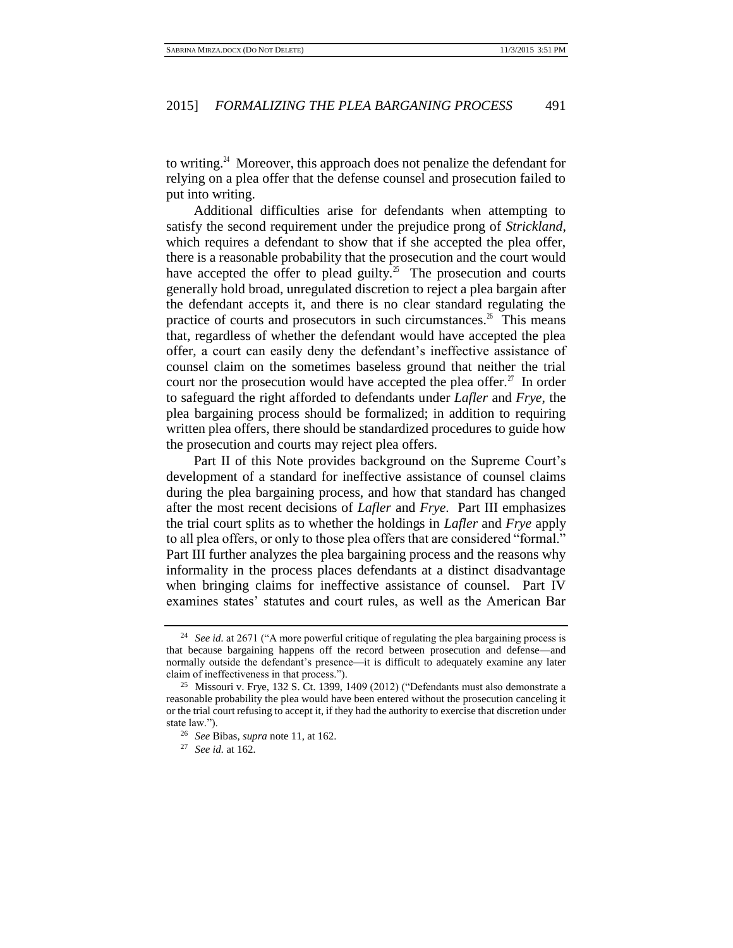to writing.<sup>24</sup> Moreover, this approach does not penalize the defendant for relying on a plea offer that the defense counsel and prosecution failed to put into writing.

Additional difficulties arise for defendants when attempting to satisfy the second requirement under the prejudice prong of *Strickland*, which requires a defendant to show that if she accepted the plea offer, there is a reasonable probability that the prosecution and the court would have accepted the offer to plead guilty.<sup>25</sup> The prosecution and courts generally hold broad, unregulated discretion to reject a plea bargain after the defendant accepts it, and there is no clear standard regulating the practice of courts and prosecutors in such circumstances.<sup>26</sup> This means that, regardless of whether the defendant would have accepted the plea offer, a court can easily deny the defendant's ineffective assistance of counsel claim on the sometimes baseless ground that neither the trial court nor the prosecution would have accepted the plea offer.<sup>27</sup> In order to safeguard the right afforded to defendants under *Lafler* and *Frye*, the plea bargaining process should be formalized; in addition to requiring written plea offers, there should be standardized procedures to guide how the prosecution and courts may reject plea offers.

Part II of this Note provides background on the Supreme Court's development of a standard for ineffective assistance of counsel claims during the plea bargaining process, and how that standard has changed after the most recent decisions of *Lafler* and *Frye.* Part III emphasizes the trial court splits as to whether the holdings in *Lafler* and *Frye* apply to all plea offers, or only to those plea offers that are considered "formal." Part III further analyzes the plea bargaining process and the reasons why informality in the process places defendants at a distinct disadvantage when bringing claims for ineffective assistance of counsel. Part IV examines states' statutes and court rules, as well as the American Bar

<sup>&</sup>lt;sup>24</sup> *See id.* at 2671 ("A more powerful critique of regulating the plea bargaining process is that because bargaining happens off the record between prosecution and defense—and normally outside the defendant's presence—it is difficult to adequately examine any later claim of ineffectiveness in that process.").

<sup>&</sup>lt;sup>25</sup> Missouri v. Frye, 132 S. Ct. 1399, 1409 (2012) ("Defendants must also demonstrate a reasonable probability the plea would have been entered without the prosecution canceling it or the trial court refusing to accept it, if they had the authority to exercise that discretion under state law.").

<sup>26</sup> *See* Bibas, *supra* note 11, at 162.

<sup>27</sup> *See id.* at 162*.*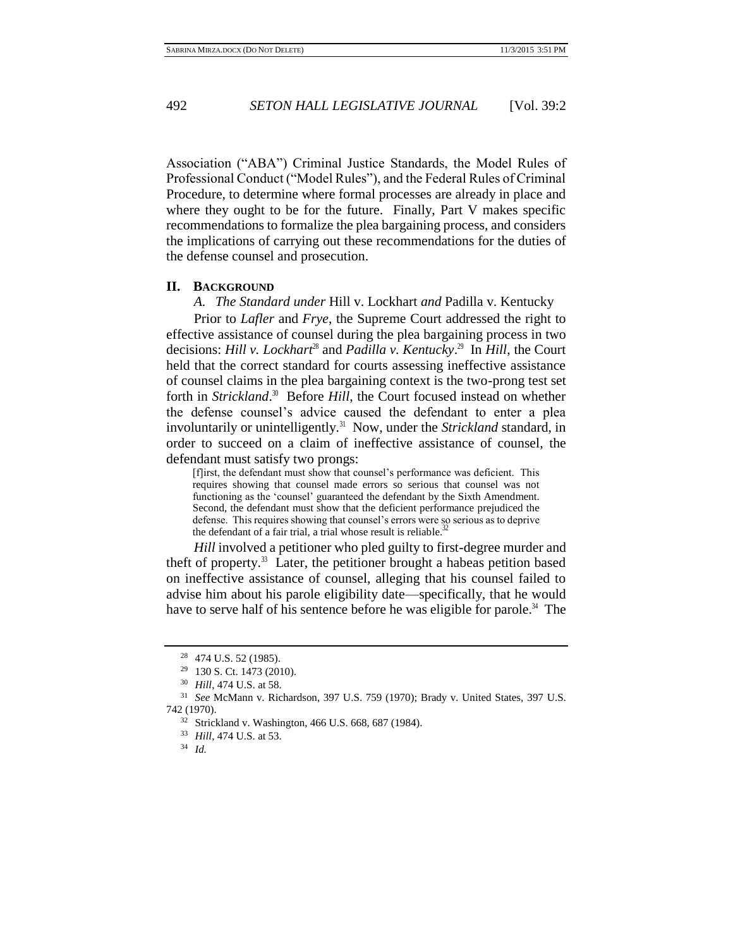Association ("ABA") Criminal Justice Standards, the Model Rules of Professional Conduct ("Model Rules"), and the Federal Rules of Criminal Procedure, to determine where formal processes are already in place and where they ought to be for the future. Finally, Part V makes specific recommendations to formalize the plea bargaining process, and considers the implications of carrying out these recommendations for the duties of the defense counsel and prosecution.

### **II. BACKGROUND**

*A. The Standard under* Hill v. Lockhart *and* Padilla v. Kentucky

Prior to *Lafler* and *Frye*, the Supreme Court addressed the right to effective assistance of counsel during the plea bargaining process in two decisions: *Hill v. Lockhart*<sup>28</sup> and *Padilla v. Kentucky*.<sup>29</sup> In *Hill*, the Court held that the correct standard for courts assessing ineffective assistance of counsel claims in the plea bargaining context is the two-prong test set forth in *Strickland*.<sup>30</sup> Before *Hill*, the Court focused instead on whether the defense counsel's advice caused the defendant to enter a plea involuntarily or unintelligently.<sup>31</sup> Now, under the *Strickland* standard, in order to succeed on a claim of ineffective assistance of counsel, the defendant must satisfy two prongs:

[f]irst, the defendant must show that counsel's performance was deficient. This requires showing that counsel made errors so serious that counsel was not functioning as the 'counsel' guaranteed the defendant by the Sixth Amendment. Second, the defendant must show that the deficient performance prejudiced the defense. This requires showing that counsel's errors were so serious as to deprive the defendant of a fair trial, a trial whose result is reliable.<sup>3</sup>

*Hill* involved a petitioner who pled guilty to first-degree murder and theft of property. $33$  Later, the petitioner brought a habeas petition based on ineffective assistance of counsel, alleging that his counsel failed to advise him about his parole eligibility date—specifically, that he would have to serve half of his sentence before he was eligible for parole.<sup>34</sup> The

<sup>28</sup> 474 U.S. 52 (1985).

<sup>29</sup> 130 S. Ct. 1473 (2010).

<sup>30</sup> *Hill*, 474 U.S. at 58.

<sup>31</sup> *See* McMann v. Richardson, 397 U.S. 759 (1970); Brady v. United States, 397 U.S. 742 (1970).

<sup>32</sup> Strickland v. Washington, 466 U.S. 668, 687 (1984).

<sup>33</sup> *Hill*, 474 U.S. at 53.

<sup>34</sup> *Id.*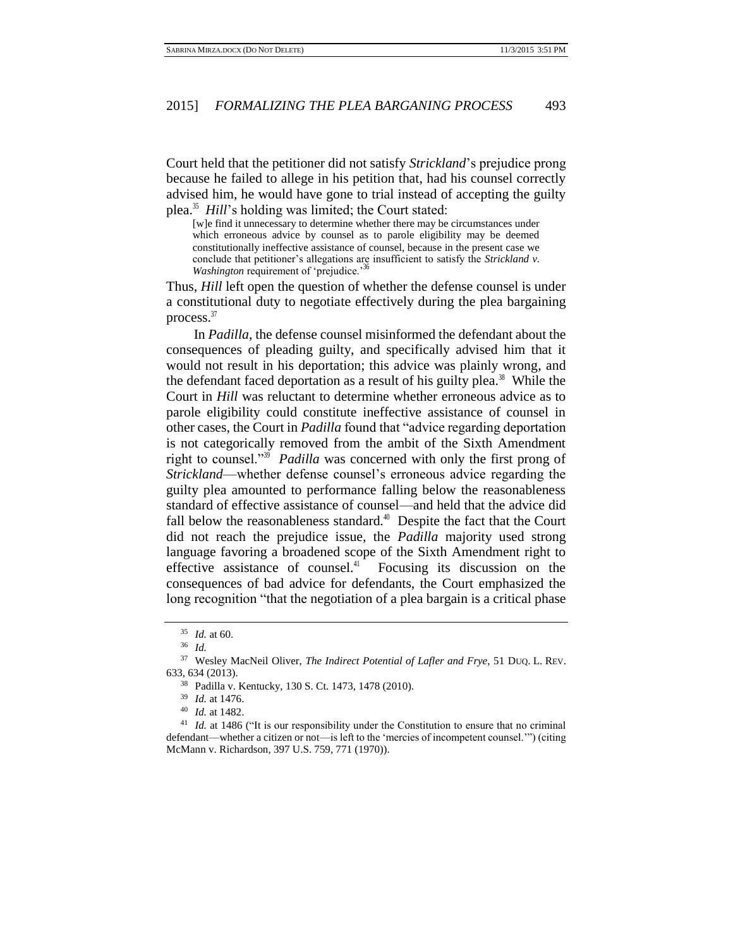Court held that the petitioner did not satisfy *Strickland*'s prejudice prong because he failed to allege in his petition that, had his counsel correctly advised him, he would have gone to trial instead of accepting the guilty plea.<sup>35</sup> *Hill*'s holding was limited; the Court stated:

[w]e find it unnecessary to determine whether there may be circumstances under which erroneous advice by counsel as to parole eligibility may be deemed constitutionally ineffective assistance of counsel, because in the present case we conclude that petitioner's allegations are insufficient to satisfy the *Strickland v. Washington* requirement of 'prejudice.'

Thus, *Hill* left open the question of whether the defense counsel is under a constitutional duty to negotiate effectively during the plea bargaining process.<sup>37</sup>

In *Padilla*, the defense counsel misinformed the defendant about the consequences of pleading guilty, and specifically advised him that it would not result in his deportation; this advice was plainly wrong, and the defendant faced deportation as a result of his guilty plea. $38$  While the Court in *Hill* was reluctant to determine whether erroneous advice as to parole eligibility could constitute ineffective assistance of counsel in other cases, the Court in *Padilla* found that "advice regarding deportation is not categorically removed from the ambit of the Sixth Amendment right to counsel."<sup>39</sup> *Padilla* was concerned with only the first prong of *Strickland*—whether defense counsel's erroneous advice regarding the guilty plea amounted to performance falling below the reasonableness standard of effective assistance of counsel—and held that the advice did fall below the reasonableness standard.<sup> $\text{\textdegree{}}$ </sup> Despite the fact that the Court did not reach the prejudice issue, the *Padilla* majority used strong language favoring a broadened scope of the Sixth Amendment right to effective assistance of counsel. $41$  Focusing its discussion on the consequences of bad advice for defendants, the Court emphasized the long recognition "that the negotiation of a plea bargain is a critical phase

<sup>35</sup> *Id.* at 60.

<sup>36</sup> *Id.*

<sup>37</sup> Wesley MacNeil Oliver, *The Indirect Potential of Lafler and Frye*, 51 DUQ. L. REV. 633, 634 (2013).

<sup>38</sup> Padilla v. Kentucky, 130 S. Ct. 1473, 1478 (2010).

<sup>39</sup> *Id.* at 1476.

<sup>40</sup> *Id.* at 1482.

<sup>&</sup>lt;sup>41</sup> *Id.* at 1486 ("It is our responsibility under the Constitution to ensure that no criminal defendant—whether a citizen or not—is left to the 'mercies of incompetent counsel.'") (citing McMann v. Richardson, 397 U.S. 759, 771 (1970)).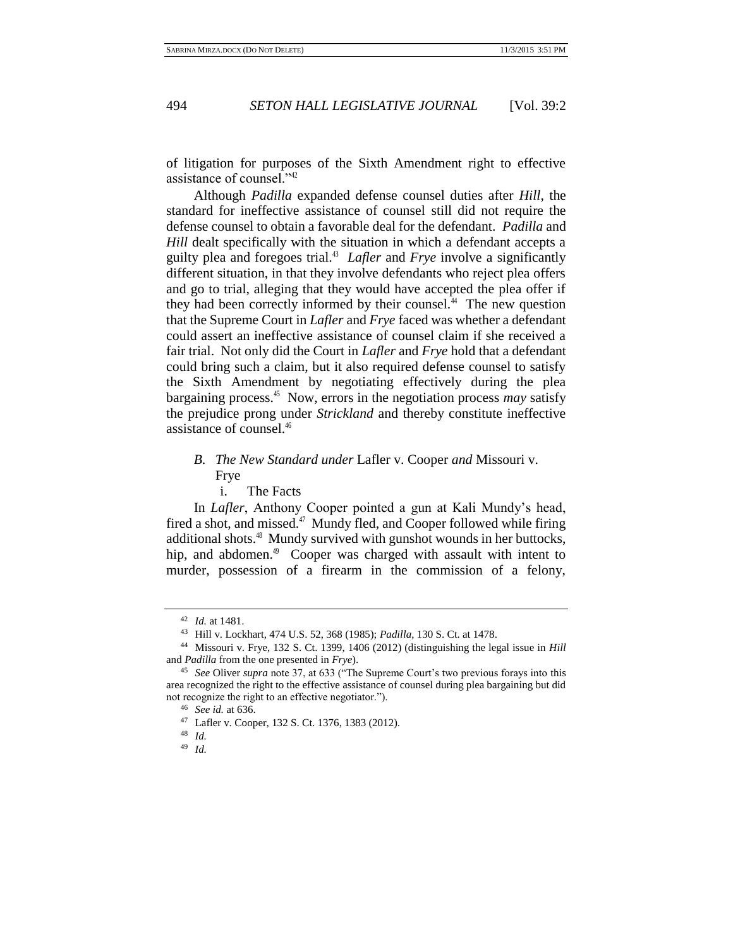of litigation for purposes of the Sixth Amendment right to effective assistance of counsel."<sup>42</sup>

Although *Padilla* expanded defense counsel duties after *Hill*, the standard for ineffective assistance of counsel still did not require the defense counsel to obtain a favorable deal for the defendant. *Padilla* and *Hill* dealt specifically with the situation in which a defendant accepts a guilty plea and foregoes trial.<sup>43</sup> *Lafler* and *Frye* involve a significantly different situation, in that they involve defendants who reject plea offers and go to trial, alleging that they would have accepted the plea offer if they had been correctly informed by their counsel. $44$  The new question that the Supreme Court in *Lafler* and *Frye* faced was whether a defendant could assert an ineffective assistance of counsel claim if she received a fair trial. Not only did the Court in *Lafler* and *Frye* hold that a defendant could bring such a claim, but it also required defense counsel to satisfy the Sixth Amendment by negotiating effectively during the plea bargaining process.<sup>45</sup> Now, errors in the negotiation process *may* satisfy the prejudice prong under *Strickland* and thereby constitute ineffective assistance of counsel.<sup>46</sup>

# *B. The New Standard under* Lafler v. Cooper *and* Missouri v. Frye

i. The Facts

In *Lafler*, Anthony Cooper pointed a gun at Kali Mundy's head, fired a shot, and missed.<sup>47</sup> Mundy fled, and Cooper followed while firing additional shots.<sup>48</sup> Mundy survived with gunshot wounds in her buttocks, hip, and abdomen.<sup>49</sup> Cooper was charged with assault with intent to murder, possession of a firearm in the commission of a felony,

<sup>42</sup> *Id.* at 1481.

<sup>43</sup> Hill v. Lockhart, 474 U.S. 52, 368 (1985); *Padilla*, 130 S. Ct. at 1478.

<sup>44</sup> Missouri v. Frye, 132 S. Ct. 1399, 1406 (2012) (distinguishing the legal issue in *Hill*  and *Padilla* from the one presented in *Frye*).

<sup>45</sup> *See* Oliver *supra* note 37, at 633 ("The Supreme Court's two previous forays into this area recognized the right to the effective assistance of counsel during plea bargaining but did not recognize the right to an effective negotiator.").

<sup>46</sup> *See id.* at 636.

<sup>47</sup> Lafler v. Cooper, 132 S. Ct. 1376, 1383 (2012).

<sup>48</sup> *Id.*

<sup>49</sup> *Id.*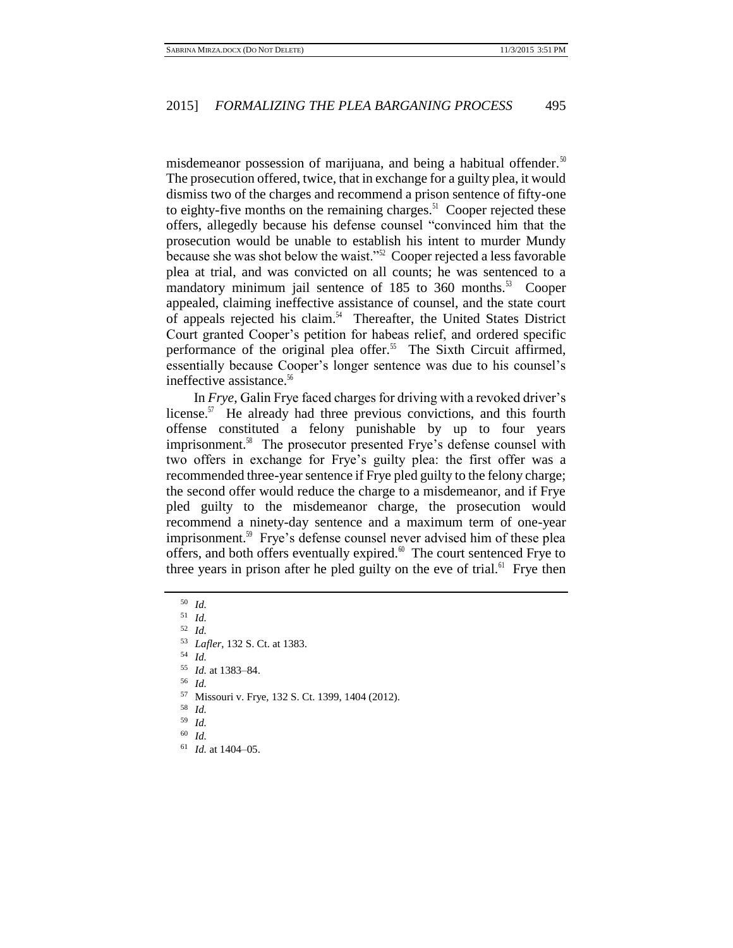misdemeanor possession of marijuana, and being a habitual offender.<sup>50</sup> The prosecution offered, twice, that in exchange for a guilty plea, it would dismiss two of the charges and recommend a prison sentence of fifty-one to eighty-five months on the remaining charges. $51$  Cooper rejected these offers, allegedly because his defense counsel "convinced him that the prosecution would be unable to establish his intent to murder Mundy because she was shot below the waist."<sup>52</sup> Cooper rejected a less favorable plea at trial, and was convicted on all counts; he was sentenced to a mandatory minimum jail sentence of 185 to 360 months.<sup>53</sup> Cooper appealed, claiming ineffective assistance of counsel, and the state court of appeals rejected his claim.<sup>54</sup> Thereafter, the United States District Court granted Cooper's petition for habeas relief, and ordered specific performance of the original plea offer.<sup>55</sup> The Sixth Circuit affirmed, essentially because Cooper's longer sentence was due to his counsel's ineffective assistance.<sup>56</sup>

In *Frye*, Galin Frye faced charges for driving with a revoked driver's license.<sup>57</sup> He already had three previous convictions, and this fourth offense constituted a felony punishable by up to four years imprisonment.<sup>58</sup> The prosecutor presented Frye's defense counsel with two offers in exchange for Frye's guilty plea: the first offer was a recommended three-year sentence if Frye pled guilty to the felony charge; the second offer would reduce the charge to a misdemeanor, and if Frye pled guilty to the misdemeanor charge, the prosecution would recommend a ninety-day sentence and a maximum term of one-year imprisonment.<sup>59</sup> Frye's defense counsel never advised him of these plea offers, and both offers eventually expired. $\mathbf{6}^{\circ}$  The court sentenced Frye to three years in prison after he pled guilty on the eve of trial.<sup> $61$ </sup> Frye then

<sup>50</sup> *Id.*

<sup>51</sup> *Id.*

<sup>52</sup> *Id.*

<sup>53</sup> *Lafler*, 132 S. Ct. at 1383.

<sup>54</sup> *Id.*

<sup>55</sup> *Id.* at 1383–84.

<sup>56</sup> *Id.*

- <sup>57</sup> Missouri v. Frye, 132 S. Ct. 1399, 1404 (2012).
- <sup>58</sup> *Id.*
- <sup>59</sup> *Id.*

<sup>60</sup> *Id.*

<sup>61</sup> *Id.* at 1404–05.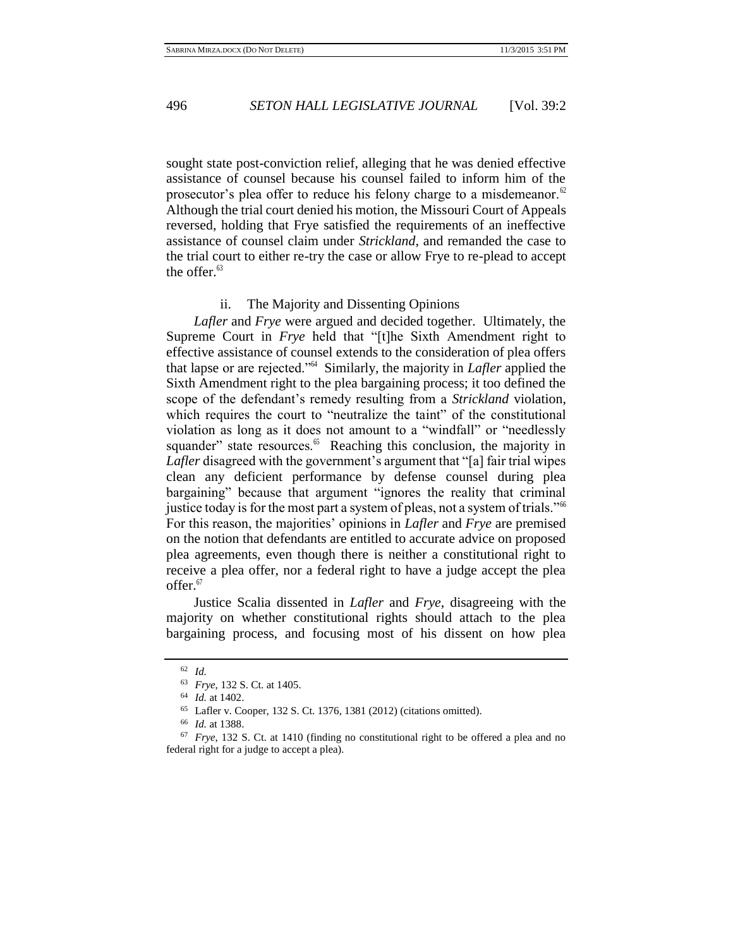sought state post-conviction relief, alleging that he was denied effective assistance of counsel because his counsel failed to inform him of the prosecutor's plea offer to reduce his felony charge to a misdemeanor. $62$ Although the trial court denied his motion, the Missouri Court of Appeals reversed, holding that Frye satisfied the requirements of an ineffective assistance of counsel claim under *Strickland*, and remanded the case to the trial court to either re-try the case or allow Frye to re-plead to accept the offer. $63$ 

### ii. The Majority and Dissenting Opinions

*Lafler* and *Frye* were argued and decided together. Ultimately, the Supreme Court in *Frye* held that "[t]he Sixth Amendment right to effective assistance of counsel extends to the consideration of plea offers that lapse or are rejected."<sup>64</sup> Similarly, the majority in *Lafler* applied the Sixth Amendment right to the plea bargaining process; it too defined the scope of the defendant's remedy resulting from a *Strickland* violation, which requires the court to "neutralize the taint" of the constitutional violation as long as it does not amount to a "windfall" or "needlessly squander" state resources.<sup>65</sup> Reaching this conclusion, the majority in *Lafler* disagreed with the government's argument that "[a] fair trial wipes clean any deficient performance by defense counsel during plea bargaining" because that argument "ignores the reality that criminal justice today is for the most part a system of pleas, not a system of trials."<sup>66</sup> For this reason, the majorities' opinions in *Lafler* and *Frye* are premised on the notion that defendants are entitled to accurate advice on proposed plea agreements, even though there is neither a constitutional right to receive a plea offer, nor a federal right to have a judge accept the plea offer.<sup>67</sup>

Justice Scalia dissented in *Lafler* and *Frye*, disagreeing with the majority on whether constitutional rights should attach to the plea bargaining process, and focusing most of his dissent on how plea

<sup>62</sup> *Id.*

<sup>63</sup> *Frye*, 132 S. Ct. at 1405.

<sup>64</sup> *Id.* at 1402.

<sup>65</sup> Lafler v. Cooper, 132 S. Ct. 1376, 1381 (2012) (citations omitted).

<sup>66</sup> *Id.* at 1388.

<sup>67</sup> *Frye*, 132 S. Ct. at 1410 (finding no constitutional right to be offered a plea and no federal right for a judge to accept a plea).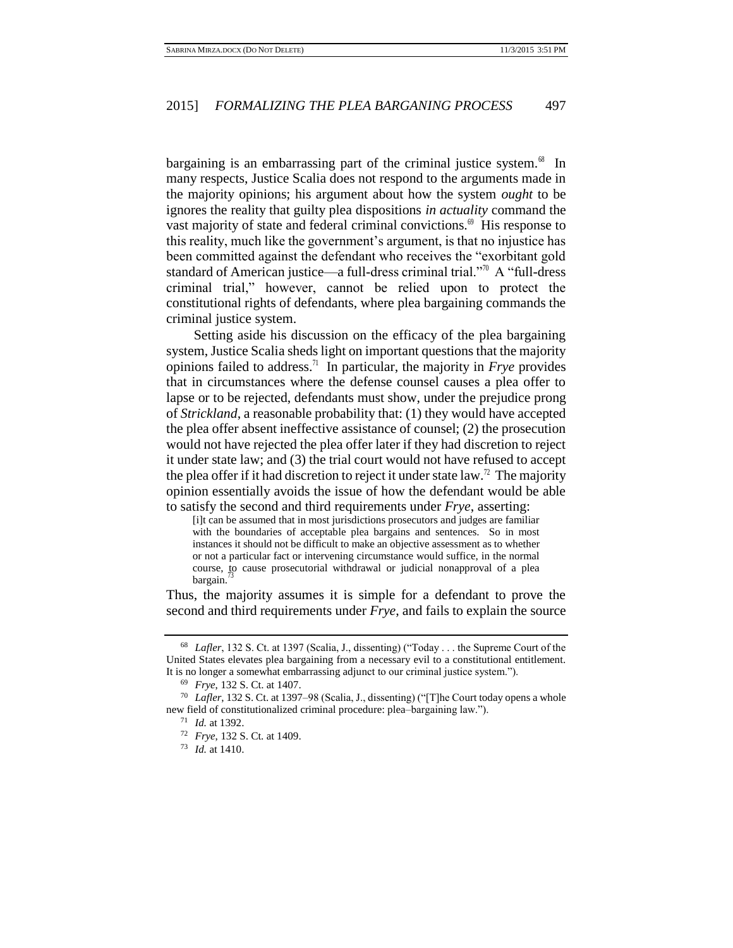bargaining is an embarrassing part of the criminal justice system.<sup>68</sup> In many respects, Justice Scalia does not respond to the arguments made in the majority opinions; his argument about how the system *ought* to be ignores the reality that guilty plea dispositions *in actuality* command the vast majority of state and federal criminal convictions. $\mathscr P$  His response to this reality, much like the government's argument, is that no injustice has been committed against the defendant who receives the "exorbitant gold standard of American justice—a full-dress criminal trial."<sup>70</sup> A "full-dress criminal trial," however, cannot be relied upon to protect the constitutional rights of defendants, where plea bargaining commands the criminal justice system.

Setting aside his discussion on the efficacy of the plea bargaining system, Justice Scalia sheds light on important questions that the majority opinions failed to address.<sup>71</sup> In particular, the majority in  $Frye$  provides that in circumstances where the defense counsel causes a plea offer to lapse or to be rejected, defendants must show, under the prejudice prong of *Strickland*, a reasonable probability that: (1) they would have accepted the plea offer absent ineffective assistance of counsel; (2) the prosecution would not have rejected the plea offer later if they had discretion to reject it under state law; and (3) the trial court would not have refused to accept the plea offer if it had discretion to reject it under state law.<sup>72</sup> The majority opinion essentially avoids the issue of how the defendant would be able to satisfy the second and third requirements under *Frye*, asserting:

[i]t can be assumed that in most jurisdictions prosecutors and judges are familiar with the boundaries of acceptable plea bargains and sentences. So in most instances it should not be difficult to make an objective assessment as to whether or not a particular fact or intervening circumstance would suffice, in the normal course, to cause prosecutorial withdrawal or judicial nonapproval of a plea bargain.

Thus, the majority assumes it is simple for a defendant to prove the second and third requirements under *Frye*, and fails to explain the source

<sup>73</sup> *Id.* at 1410.

<sup>68</sup> *Lafler*, 132 S. Ct. at 1397 (Scalia, J., dissenting) ("Today . . . the Supreme Court of the United States elevates plea bargaining from a necessary evil to a constitutional entitlement. It is no longer a somewhat embarrassing adjunct to our criminal justice system.").

<sup>69</sup> *Frye*, 132 S. Ct. at 1407.

<sup>70</sup> *Lafler*, 132 S. Ct. at 1397–98 (Scalia, J., dissenting) ("[T]he Court today opens a whole new field of constitutionalized criminal procedure: plea–bargaining law.").

<sup>71</sup> *Id.* at 1392.

<sup>72</sup> *Frye*, 132 S. Ct. at 1409.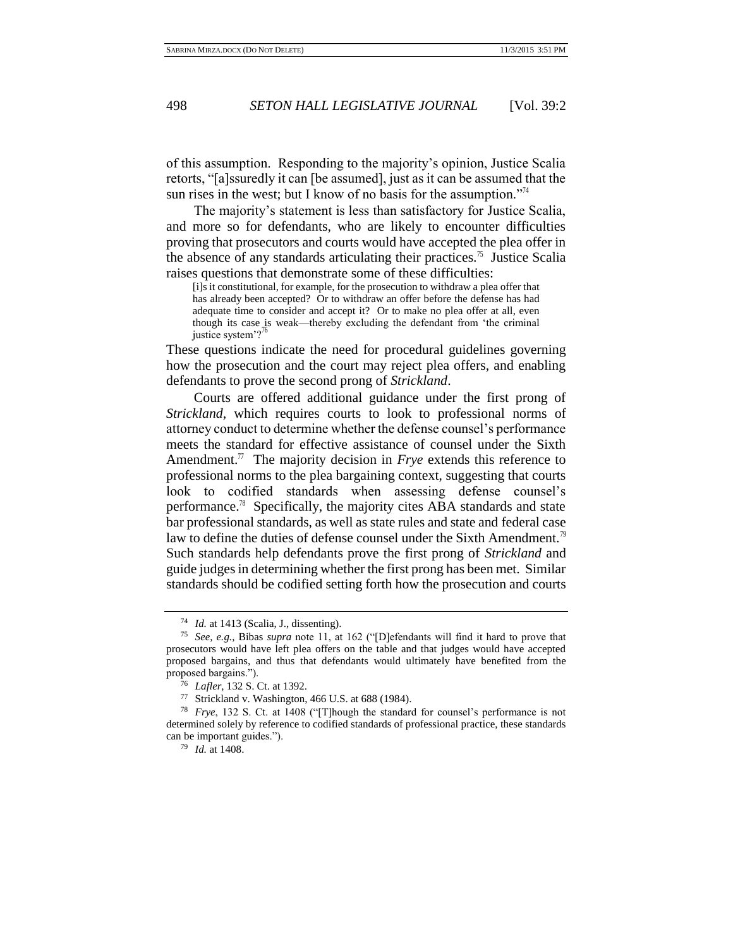of this assumption. Responding to the majority's opinion, Justice Scalia retorts, "[a]ssuredly it can [be assumed], just as it can be assumed that the sun rises in the west; but I know of no basis for the assumption."<sup>14</sup>

The majority's statement is less than satisfactory for Justice Scalia, and more so for defendants, who are likely to encounter difficulties proving that prosecutors and courts would have accepted the plea offer in the absence of any standards articulating their practices.<sup>75</sup> Justice Scalia raises questions that demonstrate some of these difficulties:

[i]s it constitutional, for example, for the prosecution to withdraw a plea offer that has already been accepted? Or to withdraw an offer before the defense has had adequate time to consider and accept it? Or to make no plea offer at all, even though its case is weak—thereby excluding the defendant from 'the criminal justice system'? $^{76}$ 

These questions indicate the need for procedural guidelines governing how the prosecution and the court may reject plea offers, and enabling defendants to prove the second prong of *Strickland*.

Courts are offered additional guidance under the first prong of *Strickland*, which requires courts to look to professional norms of attorney conduct to determine whether the defense counsel's performance meets the standard for effective assistance of counsel under the Sixth Amendment.<sup>77</sup> The majority decision in  $Frye$  extends this reference to professional norms to the plea bargaining context, suggesting that courts look to codified standards when assessing defense counsel's performance.<sup>78</sup> Specifically, the majority cites ABA standards and state bar professional standards, as well as state rules and state and federal case law to define the duties of defense counsel under the Sixth Amendment.<sup>79</sup> Such standards help defendants prove the first prong of *Strickland* and guide judges in determining whether the first prong has been met. Similar standards should be codified setting forth how the prosecution and courts

<sup>74</sup> *Id.* at 1413 (Scalia, J., dissenting).

<sup>75</sup> *See, e.g.*, Bibas *supra* note 11, at 162 ("[D]efendants will find it hard to prove that prosecutors would have left plea offers on the table and that judges would have accepted proposed bargains, and thus that defendants would ultimately have benefited from the proposed bargains.").

<sup>76</sup> *Lafler*, 132 S. Ct. at 1392.

<sup>77</sup> Strickland v. Washington, 466 U.S. at 688 (1984).

<sup>78</sup> *Frye*, 132 S. Ct. at 1408 ("[T]hough the standard for counsel's performance is not determined solely by reference to codified standards of professional practice, these standards can be important guides.").

<sup>79</sup> *Id.* at 1408.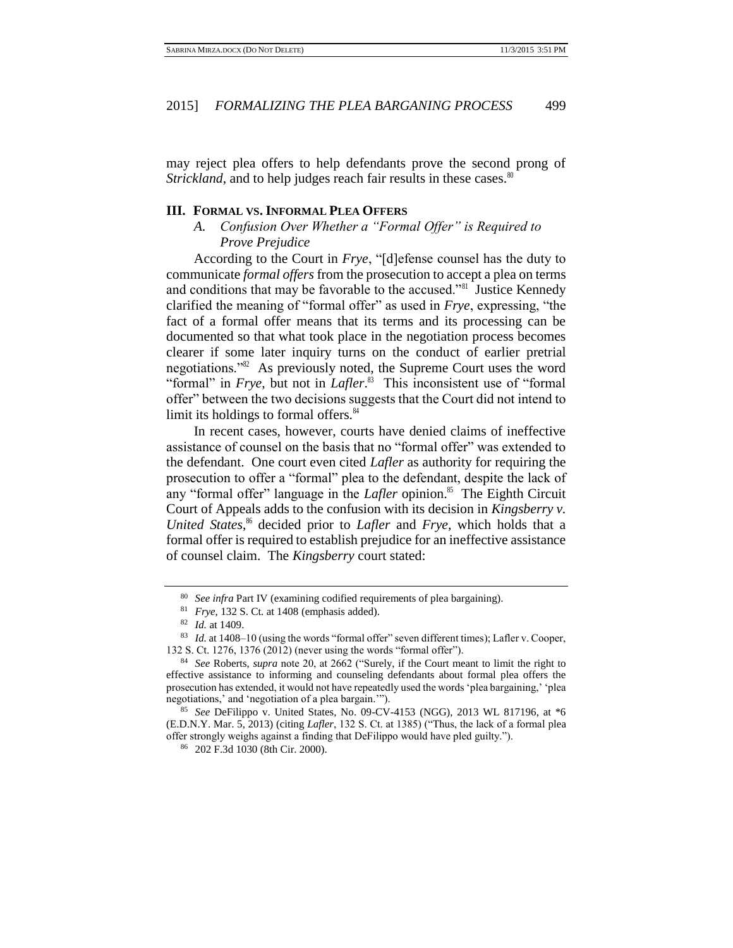may reject plea offers to help defendants prove the second prong of *Strickland*, and to help judges reach fair results in these cases.<sup>80</sup>

### **III. FORMAL VS. INFORMAL PLEA OFFERS**

*A. Confusion Over Whether a "Formal Offer" is Required to Prove Prejudice*

According to the Court in *Frye*, "[d]efense counsel has the duty to communicate *formal offers* from the prosecution to accept a plea on terms and conditions that may be favorable to the accused."<sup>81</sup> Justice Kennedy clarified the meaning of "formal offer" as used in *Frye*, expressing, "the fact of a formal offer means that its terms and its processing can be documented so that what took place in the negotiation process becomes clearer if some later inquiry turns on the conduct of earlier pretrial negotiations.<sup>382</sup> As previously noted, the Supreme Court uses the word "formal" in *Frye*, but not in *Lafler*. 83 This inconsistent use of "formal offer" between the two decisions suggests that the Court did not intend to limit its holdings to formal offers.<sup>84</sup>

In recent cases, however, courts have denied claims of ineffective assistance of counsel on the basis that no "formal offer" was extended to the defendant. One court even cited *Lafler* as authority for requiring the prosecution to offer a "formal" plea to the defendant, despite the lack of any "formal offer" language in the *Lafler* opinion.<sup>85</sup> The Eighth Circuit Court of Appeals adds to the confusion with its decision in *Kingsberry v. United States*, <sup>86</sup> decided prior to *Lafler* and *Frye*, which holds that a formal offer is required to establish prejudice for an ineffective assistance of counsel claim. The *Kingsberry* court stated:

<sup>80</sup> *See infra* Part IV (examining codified requirements of plea bargaining).

<sup>81</sup> *Frye*, 132 S. Ct. at 1408 (emphasis added).

<sup>82</sup> *Id.* at 1409.

<sup>83</sup> *Id.* at 1408–10 (using the words "formal offer" seven different times); Lafler v. Cooper, 132 S. Ct. 1276, 1376 (2012) (never using the words "formal offer").

<sup>84</sup> *See* Roberts, *supra* note 20, at 2662 ("Surely, if the Court meant to limit the right to effective assistance to informing and counseling defendants about formal plea offers the prosecution has extended, it would not have repeatedly used the words 'plea bargaining,' 'plea negotiations,' and 'negotiation of a plea bargain.'").

<sup>85</sup> *See* DeFilippo v. United States, No. 09-CV-4153 (NGG), 2013 WL 817196, at \*6 (E.D.N.Y. Mar. 5, 2013) (citing *Lafler*, 132 S. Ct. at 1385) ("Thus, the lack of a formal plea offer strongly weighs against a finding that DeFilippo would have pled guilty.").

<sup>86</sup> 202 F.3d 1030 (8th Cir. 2000).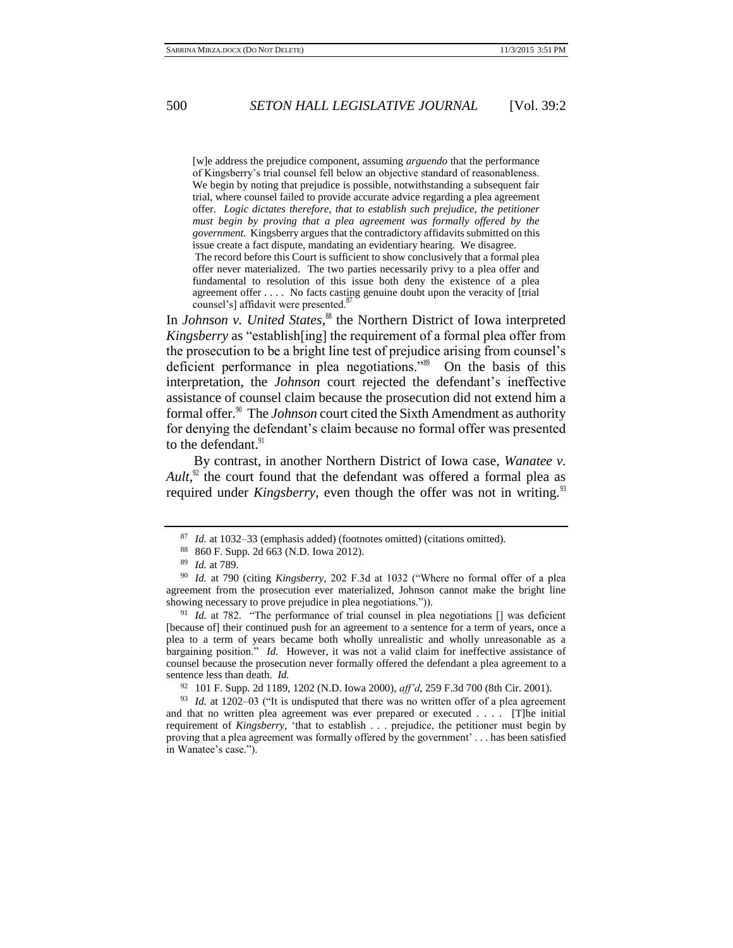[w]e address the prejudice component, assuming *arguendo* that the performance of Kingsberry's trial counsel fell below an objective standard of reasonableness. We begin by noting that prejudice is possible, notwithstanding a subsequent fair trial, where counsel failed to provide accurate advice regarding a plea agreement offer. *Logic dictates therefore, that to establish such prejudice, the petitioner must begin by proving that a plea agreement was formally offered by the government.* Kingsberry argues that the contradictory affidavits submitted on this issue create a fact dispute, mandating an evidentiary hearing. We disagree. The record before this Court is sufficient to show conclusively that a formal plea offer never materialized. The two parties necessarily privy to a plea offer and fundamental to resolution of this issue both deny the existence of a plea agreement offer . . . . No facts casting genuine doubt upon the veracity of [trial counsel's] affidavit were presented.<sup>8</sup>

In *Johnson v. United States*, <sup>88</sup> the Northern District of Iowa interpreted *Kingsberry* as "establish[ing] the requirement of a formal plea offer from the prosecution to be a bright line test of prejudice arising from counsel's deficient performance in plea negotiations."<sup>89</sup> On the basis of this interpretation, the *Johnson* court rejected the defendant's ineffective assistance of counsel claim because the prosecution did not extend him a formal offer.<sup>90</sup> The *Johnson* court cited the Sixth Amendment as authority for denying the defendant's claim because no formal offer was presented to the defendant.<sup>91</sup>

By contrast, in another Northern District of Iowa case, *Wanatee v. Ault*, $\alpha$ <sup>2</sup> the court found that the defendant was offered a formal plea as required under *Kingsberry*, even though the offer was not in writing.<sup>93</sup>

<sup>87</sup> *Id.* at 1032–33 (emphasis added) (footnotes omitted) (citations omitted).

<sup>88</sup> 860 F. Supp. 2d 663 (N.D. Iowa 2012).

<sup>89</sup> *Id.* at 789.

<sup>90</sup> *Id.* at 790 (citing *Kingsberry*, 202 F.3d at 1032 ("Where no formal offer of a plea agreement from the prosecution ever materialized, Johnson cannot make the bright line showing necessary to prove prejudice in plea negotiations.")).

<sup>91</sup> *Id.* at 782. "The performance of trial counsel in plea negotiations [] was deficient [because of] their continued push for an agreement to a sentence for a term of years, once a plea to a term of years became both wholly unrealistic and wholly unreasonable as a bargaining position." *Id.* However, it was not a valid claim for ineffective assistance of counsel because the prosecution never formally offered the defendant a plea agreement to a sentence less than death. *Id.*

<sup>92</sup> 101 F. Supp. 2d 1189, 1202 (N.D. Iowa 2000), *aff'd*, 259 F.3d 700 (8th Cir. 2001).

<sup>93</sup> *Id.* at 1202–03 ("It is undisputed that there was no written offer of a plea agreement and that no written plea agreement was ever prepared or executed . . . . [T]he initial requirement of *Kingsberry*, 'that to establish . . . prejudice, the petitioner must begin by proving that a plea agreement was formally offered by the government' *. . .* has been satisfied in Wanatee's case.").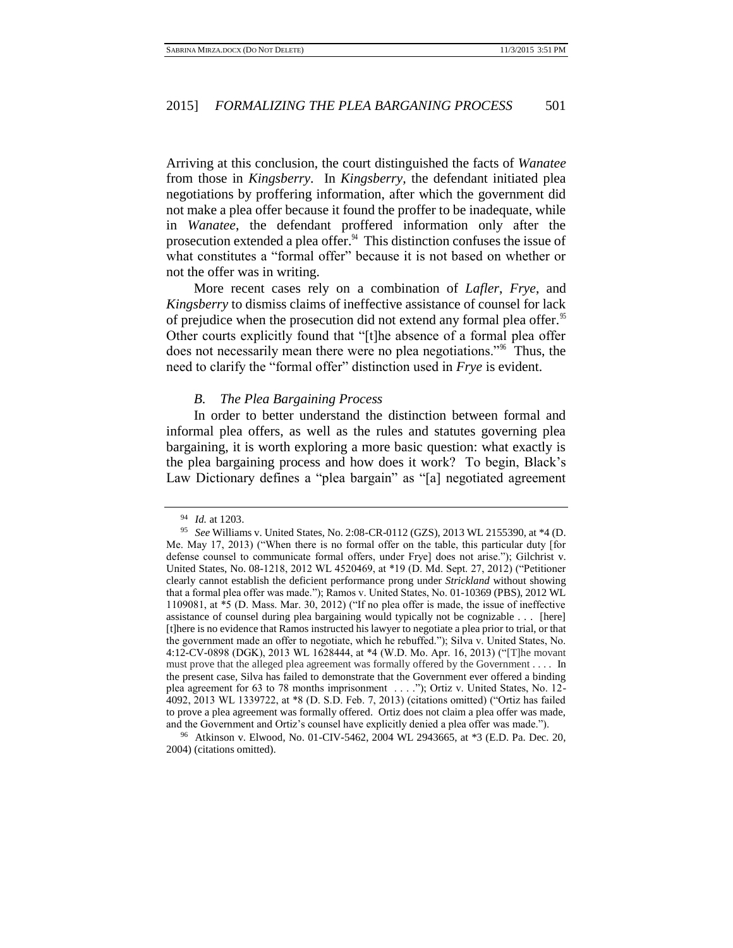Arriving at this conclusion, the court distinguished the facts of *Wanatee*  from those in *Kingsberry*. In *Kingsberry,* the defendant initiated plea negotiations by proffering information, after which the government did not make a plea offer because it found the proffer to be inadequate, while in *Wanatee*, the defendant proffered information only after the prosecution extended a plea offer. $94$  This distinction confuses the issue of what constitutes a "formal offer" because it is not based on whether or not the offer was in writing.

More recent cases rely on a combination of *Lafler*, *Frye*, and *Kingsberry* to dismiss claims of ineffective assistance of counsel for lack of prejudice when the prosecution did not extend any formal plea offer.<sup>95</sup> Other courts explicitly found that "[t]he absence of a formal plea offer does not necessarily mean there were no plea negotiations."<sup>96</sup> Thus, the need to clarify the "formal offer" distinction used in *Frye* is evident.

### *B. The Plea Bargaining Process*

In order to better understand the distinction between formal and informal plea offers, as well as the rules and statutes governing plea bargaining, it is worth exploring a more basic question: what exactly is the plea bargaining process and how does it work? To begin, Black's Law Dictionary defines a "plea bargain" as "[a] negotiated agreement

<sup>94</sup> *Id.* at 1203.

<sup>95</sup> *See* Williams v. United States, No. 2:08-CR-0112 (GZS), 2013 WL 2155390, at \*4 (D. Me. May 17, 2013) ("When there is no formal offer on the table, this particular duty [for defense counsel to communicate formal offers, under Frye] does not arise."); Gilchrist v. United States, No. 08-1218, 2012 WL 4520469, at \*19 (D. Md. Sept. 27, 2012) ("Petitioner clearly cannot establish the deficient performance prong under *Strickland* without showing that a formal plea offer was made."); Ramos v. United States, No. 01-10369 (PBS), 2012 WL 1109081, at \*5 (D. Mass. Mar. 30, 2012) ("If no plea offer is made, the issue of ineffective assistance of counsel during plea bargaining would typically not be cognizable . . . [here] [t]here is no evidence that Ramos instructed his lawyer to negotiate a plea prior to trial, or that the government made an offer to negotiate, which he rebuffed."); Silva v. United States, No. 4:12-CV-0898 (DGK), 2013 WL 1628444, at \*4 (W.D. Mo. Apr. 16, 2013) ("[T]he movant must prove that the alleged plea agreement was formally offered by the Government . . . . In the present case, Silva has failed to demonstrate that the Government ever offered a binding plea agreement for 63 to 78 months imprisonment . . . ."); Ortiz v. United States, No. 12- 4092, 2013 WL 1339722, at \*8 (D. S.D. Feb. 7, 2013) (citations omitted) ("Ortiz has failed to prove a plea agreement was formally offered. Ortiz does not claim a plea offer was made, and the Government and Ortiz's counsel have explicitly denied a plea offer was made.").

<sup>96</sup> Atkinson v. Elwood, No. 01-CIV-5462, 2004 WL 2943665, at \*3 (E.D. Pa. Dec. 20, 2004) (citations omitted).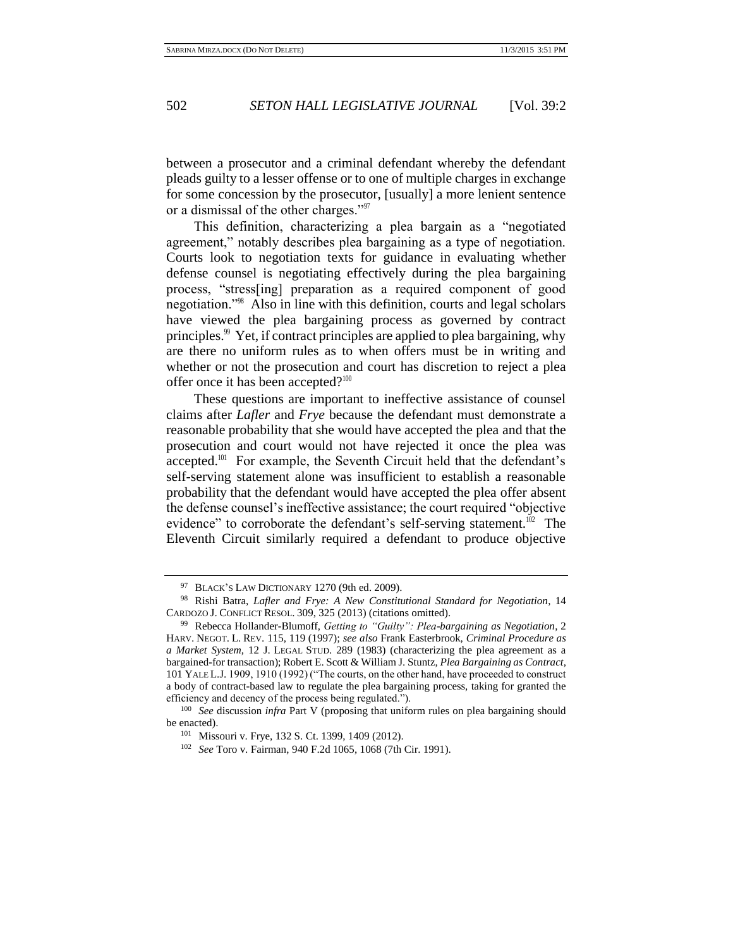between a prosecutor and a criminal defendant whereby the defendant pleads guilty to a lesser offense or to one of multiple charges in exchange for some concession by the prosecutor, [usually] a more lenient sentence or a dismissal of the other charges."<sup>97</sup>

This definition, characterizing a plea bargain as a "negotiated agreement," notably describes plea bargaining as a type of negotiation. Courts look to negotiation texts for guidance in evaluating whether defense counsel is negotiating effectively during the plea bargaining process, "stress[ing] preparation as a required component of good negotiation."<sup>98</sup> Also in line with this definition, courts and legal scholars have viewed the plea bargaining process as governed by contract principles.<sup>99</sup> Yet, if contract principles are applied to plea bargaining, why are there no uniform rules as to when offers must be in writing and whether or not the prosecution and court has discretion to reject a plea offer once it has been accepted? $100$ 

These questions are important to ineffective assistance of counsel claims after *Lafler* and *Frye* because the defendant must demonstrate a reasonable probability that she would have accepted the plea and that the prosecution and court would not have rejected it once the plea was accepted.<sup>101</sup> For example, the Seventh Circuit held that the defendant's self-serving statement alone was insufficient to establish a reasonable probability that the defendant would have accepted the plea offer absent the defense counsel's ineffective assistance; the court required "objective evidence" to corroborate the defendant's self-serving statement.<sup>102</sup> The Eleventh Circuit similarly required a defendant to produce objective

<sup>97</sup> BLACK'S LAW DICTIONARY 1270 (9th ed. 2009).

<sup>98</sup> Rishi Batra, *Lafler and Frye: A New Constitutional Standard for Negotiation*, 14 CARDOZO J. CONFLICT RESOL. 309, 325 (2013) (citations omitted).

<sup>99</sup> Rebecca Hollander-Blumoff, *Getting to "Guilty": Plea-bargaining as Negotiation*, 2 HARV. NEGOT. L. REV. 115, 119 (1997); *see also* Frank Easterbrook, *Criminal Procedure as a Market System*, 12 J. LEGAL STUD. 289 (1983) (characterizing the plea agreement as a bargained-for transaction); Robert E. Scott & William J. Stuntz, *Plea Bargaining as Contract*, 101 YALE L.J. 1909, 1910 (1992) ("The courts, on the other hand, have proceeded to construct a body of contract-based law to regulate the plea bargaining process, taking for granted the efficiency and decency of the process being regulated.").

<sup>100</sup> *See* discussion *infra* Part V (proposing that uniform rules on plea bargaining should be enacted).

<sup>101</sup> Missouri v. Frye, 132 S. Ct. 1399, 1409 (2012).

<sup>102</sup> *See* Toro v. Fairman, 940 F.2d 1065, 1068 (7th Cir. 1991).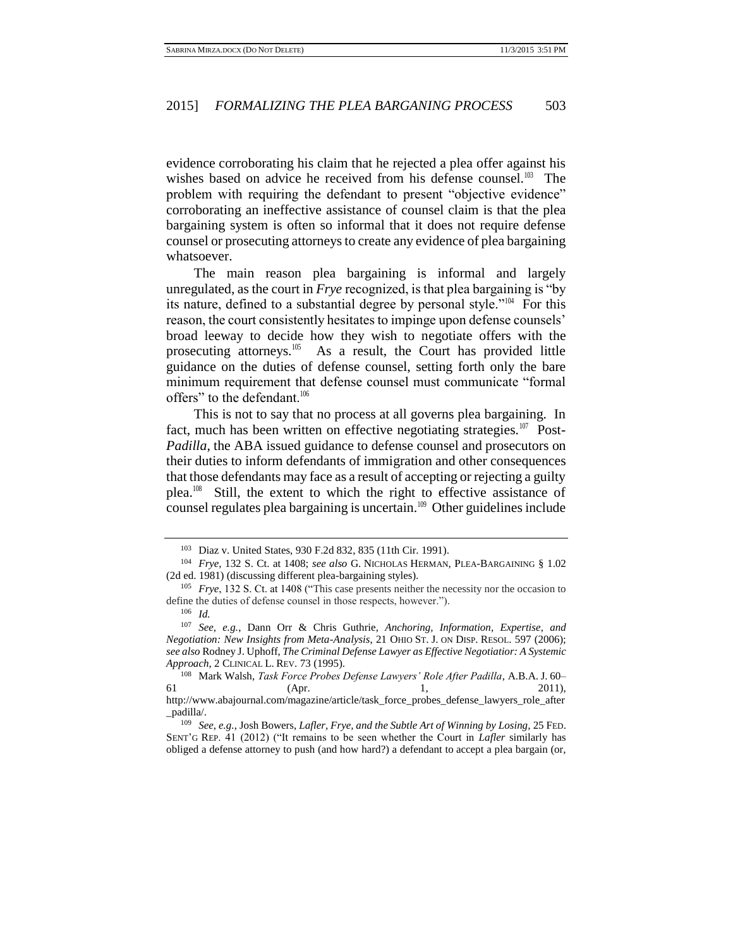evidence corroborating his claim that he rejected a plea offer against his wishes based on advice he received from his defense counsel.<sup>103</sup> The problem with requiring the defendant to present "objective evidence" corroborating an ineffective assistance of counsel claim is that the plea bargaining system is often so informal that it does not require defense counsel or prosecuting attorneys to create any evidence of plea bargaining whatsoever.

The main reason plea bargaining is informal and largely unregulated, as the court in *Frye* recognized, is that plea bargaining is "by its nature, defined to a substantial degree by personal style."<sup>104</sup> For this reason, the court consistently hesitates to impinge upon defense counsels' broad leeway to decide how they wish to negotiate offers with the prosecuting attorneys.<sup>105</sup> As a result, the Court has provided little guidance on the duties of defense counsel, setting forth only the bare minimum requirement that defense counsel must communicate "formal offers" to the defendant.<sup>106</sup>

This is not to say that no process at all governs plea bargaining. In fact, much has been written on effective negotiating strategies.<sup>107</sup> Post-*Padilla*, the ABA issued guidance to defense counsel and prosecutors on their duties to inform defendants of immigration and other consequences that those defendants may face as a result of accepting or rejecting a guilty plea.<sup>108</sup> Still, the extent to which the right to effective assistance of counsel regulates plea bargaining is uncertain.<sup>109</sup> Other guidelines include

<sup>103</sup> Diaz v. United States, 930 F.2d 832, 835 (11th Cir. 1991).

<sup>104</sup> *Frye*, 132 S. Ct. at 1408; *see also* G. NICHOLAS HERMAN, PLEA-BARGAINING § 1.02 (2d ed. 1981) (discussing different plea-bargaining styles).

<sup>105</sup> *Frye*, 132 S. Ct. at 1408 ("This case presents neither the necessity nor the occasion to define the duties of defense counsel in those respects, however.").

<sup>106</sup> *Id.* 

<sup>107</sup> *See, e.g.*, Dann Orr & Chris Guthrie, *Anchoring, Information, Expertise, and Negotiation: New Insights from Meta-Analysis*, 21 OHIO ST. J. ON DISP. RESOL. 597 (2006); *see also* Rodney J. Uphoff, *The Criminal Defense Lawyer as Effective Negotiatior: A Systemic Approach*, 2 CLINICAL L. REV. 73 (1995).

<sup>108</sup> Mark Walsh, *Task Force Probes Defense Lawyers' Role After Padilla*, A.B.A. J. 60– 61 (Apr. 1, 2011), http://www.abajournal.com/magazine/article/task\_force\_probes\_defense\_lawyers\_role\_after

\_padilla/.

<sup>109</sup> *See, e.g.*, Josh Bowers, *Lafler, Frye, and the Subtle Art of Winning by Losing,* 25 FED. SENT'G REP. 41 (2012) ("It remains to be seen whether the Court in *Lafler* similarly has obliged a defense attorney to push (and how hard?) a defendant to accept a plea bargain (or,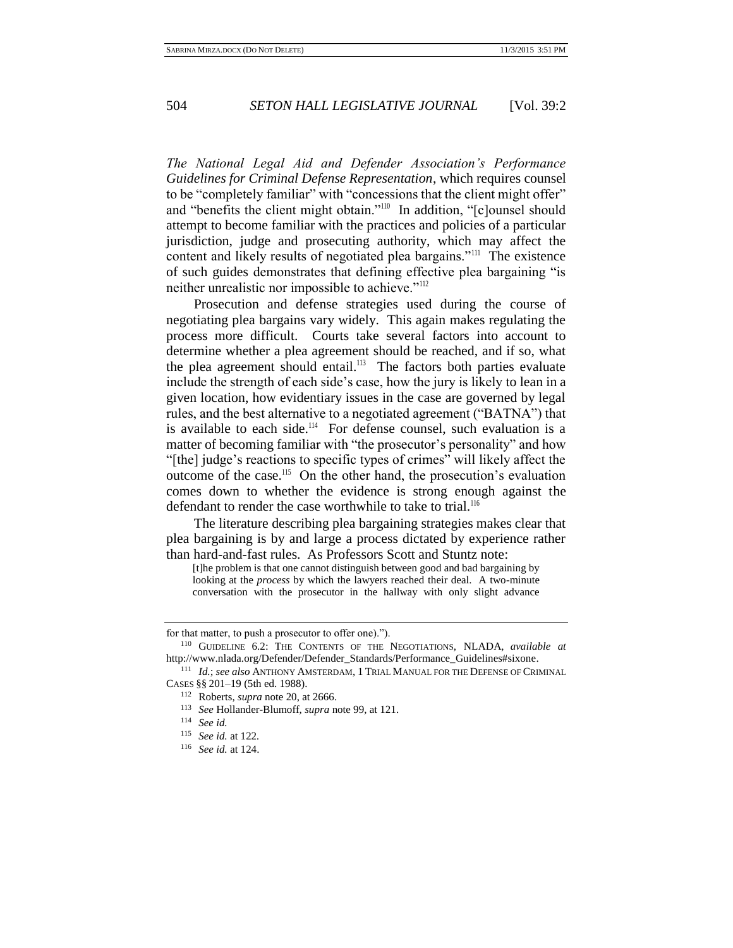*The National Legal Aid and Defender Association's Performance Guidelines for Criminal Defense Representation*, which requires counsel to be "completely familiar" with "concessions that the client might offer" and "benefits the client might obtain."<sup>110</sup> In addition, "[c]ounsel should attempt to become familiar with the practices and policies of a particular jurisdiction, judge and prosecuting authority, which may affect the content and likely results of negotiated plea bargains."<sup>111</sup> The existence of such guides demonstrates that defining effective plea bargaining "is neither unrealistic nor impossible to achieve."<sup>112</sup>

Prosecution and defense strategies used during the course of negotiating plea bargains vary widely. This again makes regulating the process more difficult. Courts take several factors into account to determine whether a plea agreement should be reached, and if so, what the plea agreement should entail.<sup>113</sup> The factors both parties evaluate include the strength of each side's case, how the jury is likely to lean in a given location, how evidentiary issues in the case are governed by legal rules, and the best alternative to a negotiated agreement ("BATNA") that is available to each side.<sup>114</sup> For defense counsel, such evaluation is a matter of becoming familiar with "the prosecutor's personality" and how "[the] judge's reactions to specific types of crimes" will likely affect the outcome of the case.<sup>115</sup> On the other hand, the prosecution's evaluation comes down to whether the evidence is strong enough against the defendant to render the case worthwhile to take to trial.<sup>116</sup>

The literature describing plea bargaining strategies makes clear that plea bargaining is by and large a process dictated by experience rather than hard-and-fast rules.As Professors Scott and Stuntz note:

[t]he problem is that one cannot distinguish between good and bad bargaining by looking at the *process* by which the lawyers reached their deal. A two-minute conversation with the prosecutor in the hallway with only slight advance

for that matter, to push a prosecutor to offer one).").

<sup>110</sup> GUIDELINE 6.2: THE CONTENTS OF THE NEGOTIATIONS, NLADA, *available at*  [http://www.nlada.org/Defender/Defender\\_Standards/Performance\\_Guidelines#sixone.](http://www.nlada.org/Defender/Defender_Standards/Performance_Guidelines#sixone)

<sup>111</sup> *Id.*; *see also* ANTHONY AMSTERDAM, 1 TRIAL MANUAL FOR THE DEFENSE OF CRIMINAL CASES §§ 201–19 (5th ed. 1988).

<sup>112</sup> Roberts, *supra* note 20, at 2666.

<sup>113</sup> *See* Hollander-Blumoff, *supra* note 99, at 121.

<sup>114</sup> *See id.*

<sup>115</sup> *See id.* at 122*.*

<sup>116</sup> *See id.* at 124.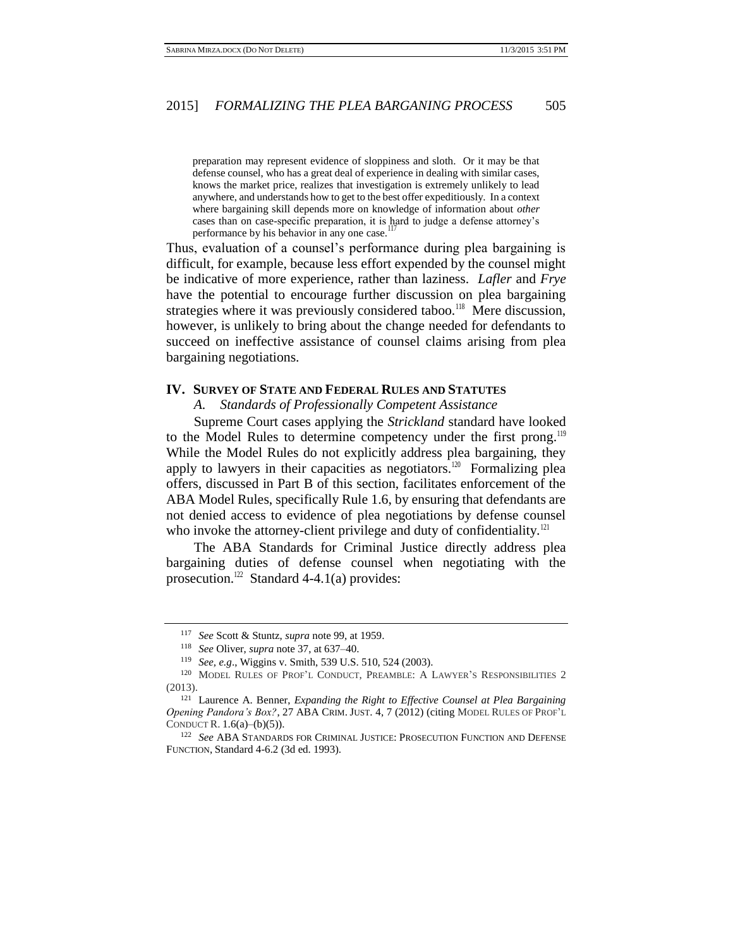preparation may represent evidence of sloppiness and sloth. Or it may be that defense counsel, who has a great deal of experience in dealing with similar cases, knows the market price, realizes that investigation is extremely unlikely to lead anywhere, and understands how to get to the best offer expeditiously. In a context where bargaining skill depends more on knowledge of information about *other*  cases than on case-specific preparation, it is hard to judge a defense attorney's  $\frac{1}{2}$ performance by his behavior in any one case.

Thus, evaluation of a counsel's performance during plea bargaining is difficult, for example, because less effort expended by the counsel might be indicative of more experience, rather than laziness. *Lafler* and *Frye* have the potential to encourage further discussion on plea bargaining strategies where it was previously considered taboo.<sup>118</sup> Mere discussion, however, is unlikely to bring about the change needed for defendants to succeed on ineffective assistance of counsel claims arising from plea bargaining negotiations.

# **IV. SURVEY OF STATE AND FEDERAL RULES AND STATUTES**

*A. Standards of Professionally Competent Assistance*

Supreme Court cases applying the *Strickland* standard have looked to the Model Rules to determine competency under the first prong.<sup>119</sup> While the Model Rules do not explicitly address plea bargaining, they apply to lawyers in their capacities as negotiators.<sup>120</sup> Formalizing plea offers, discussed in Part B of this section, facilitates enforcement of the ABA Model Rules, specifically Rule 1.6, by ensuring that defendants are not denied access to evidence of plea negotiations by defense counsel who invoke the attorney-client privilege and duty of confidentiality. $121$ 

The ABA Standards for Criminal Justice directly address plea bargaining duties of defense counsel when negotiating with the prosecution.<sup>122</sup> Standard 4-4.1(a) provides:

<sup>117</sup> *See* Scott & Stuntz, *supra* note 99, at 1959.

<sup>118</sup> *See* Oliver, *supra* note 37, at 637–40.

<sup>119</sup> *See, e.g*., Wiggins v. Smith, 539 U.S. 510, 524 (2003).

<sup>120</sup> MODEL RULES OF PROF'L CONDUCT, PREAMBLE: A LAWYER'S RESPONSIBILITIES 2 (2013).

<sup>121</sup> Laurence A. Benner, *Expanding the Right to Effective Counsel at Plea Bargaining Opening Pandora's Box?*, 27 ABA CRIM. JUST. 4, 7 (2012) (citing MODEL RULES OF PROF'L CONDUCT R. 1.6(a)–(b)(5)).

<sup>122</sup> *See* ABA STANDARDS FOR CRIMINAL JUSTICE: PROSECUTION FUNCTION AND DEFENSE FUNCTION, Standard 4-6.2 (3d ed. 1993).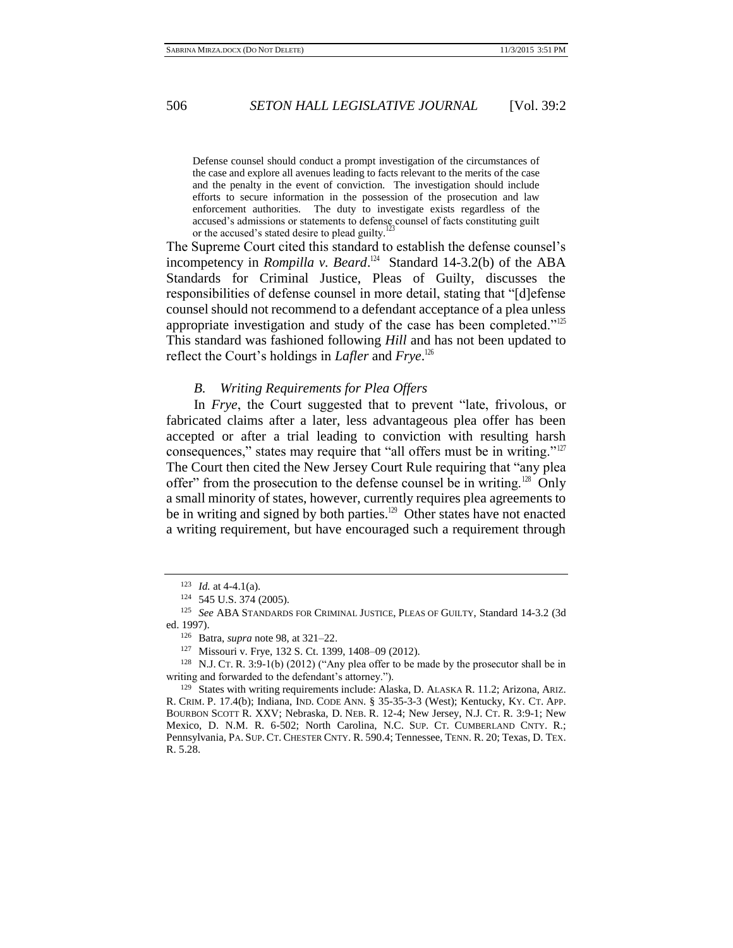Defense counsel should conduct a prompt investigation of the circumstances of the case and explore all avenues leading to facts relevant to the merits of the case and the penalty in the event of conviction. The investigation should include efforts to secure information in the possession of the prosecution and law enforcement authorities. The duty to investigate exists regardless of the accused's admissions or statements to defense counsel of facts constituting guilt or the accused's stated desire to plead guilty.

The Supreme Court cited this standard to establish the defense counsel's incompetency in *Rompilla v. Beard*.<sup>124</sup> Standard 14-3.2(b) of the ABA Standards for Criminal Justice, Pleas of Guilty, discusses the responsibilities of defense counsel in more detail, stating that "[d]efense counsel should not recommend to a defendant acceptance of a plea unless appropriate investigation and study of the case has been completed."<sup>125</sup> This standard was fashioned following *Hill* and has not been updated to reflect the Court's holdings in *Lafler* and *Frye*. 126

### *B. Writing Requirements for Plea Offers*

In *Frye*, the Court suggested that to prevent "late, frivolous, or fabricated claims after a later, less advantageous plea offer has been accepted or after a trial leading to conviction with resulting harsh consequences," states may require that "all offers must be in writing."<sup>127</sup> The Court then cited the New Jersey Court Rule requiring that "any plea offer" from the prosecution to the defense counsel be in writing.<sup>128</sup> Only a small minority of states, however, currently requires plea agreements to be in writing and signed by both parties.<sup>129</sup> Other states have not enacted a writing requirement, but have encouraged such a requirement through

<sup>123</sup> *Id.* at 4-4.1(a).

<sup>124</sup> 545 U.S. 374 (2005).

<sup>125</sup> *See* ABA STANDARDS FOR CRIMINAL JUSTICE, PLEAS OF GUILTY, Standard 14-3.2 (3d ed. 1997).

<sup>126</sup> Batra, *supra* note 98, at 321–22.

<sup>127</sup> Missouri v. Frye, 132 S. Ct. 1399, 1408–09 (2012).

<sup>128</sup> N.J. CT. R. 3:9-1(b) (2012) ("Any plea offer to be made by the prosecutor shall be in writing and forwarded to the defendant's attorney.").

<sup>129</sup> States with writing requirements include: Alaska, D. ALASKA R. 11.2; Arizona, ARIZ. R. CRIM. P. 17.4(b); Indiana, IND. CODE ANN. § 35-35-3-3 (West); Kentucky, KY. CT. APP. BOURBON SCOTT R. XXV; Nebraska, D. NEB. R. 12-4; New Jersey, N.J. CT. R. 3:9-1; New Mexico, D. N.M. R. 6-502; North Carolina, N.C. SUP. CT. CUMBERLAND CNTY. R.; Pennsylvania, PA. SUP. CT. CHESTER CNTY. R. 590.4; Tennessee, TENN. R. 20; Texas, D. TEX. R. 5.28.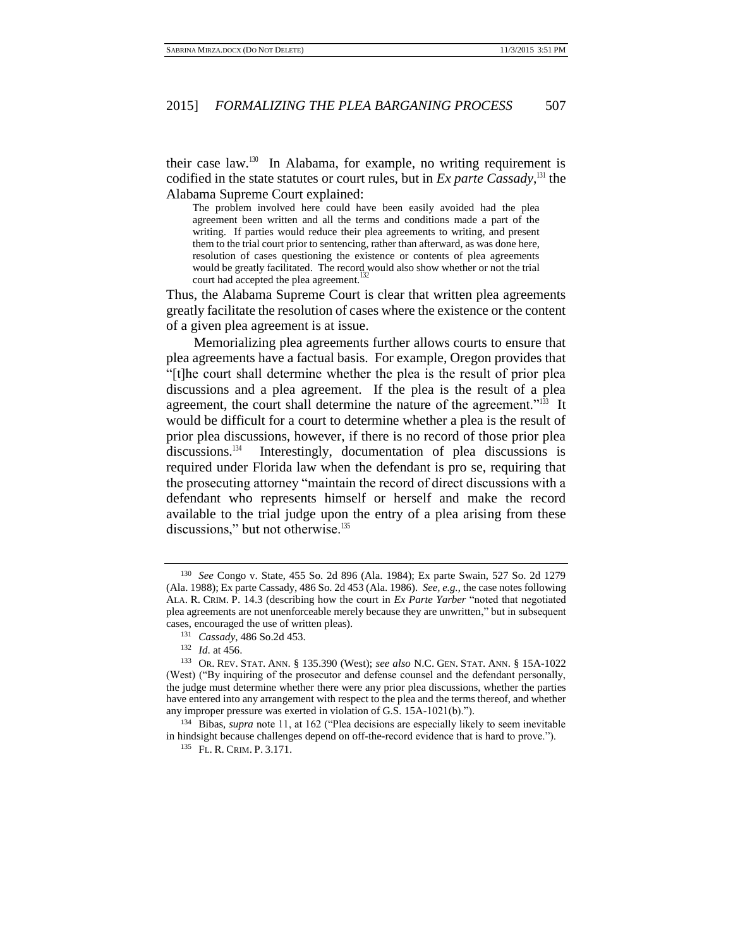their case law.<sup>130</sup> In Alabama, for example, no writing requirement is codified in the state statutes or court rules, but in *Ex parte Cassady*, <sup>131</sup> the Alabama Supreme Court explained:

The problem involved here could have been easily avoided had the plea agreement been written and all the terms and conditions made a part of the writing. If parties would reduce their plea agreements to writing, and present them to the trial court prior to sentencing, rather than afterward, as was done here, resolution of cases questioning the existence or contents of plea agreements would be greatly facilitated. The record would also show whether or not the trial court had accepted the plea agreement.<sup>1</sup>

Thus, the Alabama Supreme Court is clear that written plea agreements greatly facilitate the resolution of cases where the existence or the content of a given plea agreement is at issue.

Memorializing plea agreements further allows courts to ensure that plea agreements have a factual basis. For example, Oregon provides that "[t]he court shall determine whether the plea is the result of prior plea discussions and a plea agreement. If the plea is the result of a plea agreement, the court shall determine the nature of the agreement."<sup>133</sup> It would be difficult for a court to determine whether a plea is the result of prior plea discussions, however, if there is no record of those prior plea discussions. $134$  Interestingly, documentation of plea discussions is required under Florida law when the defendant is pro se, requiring that the prosecuting attorney "maintain the record of direct discussions with a defendant who represents himself or herself and make the record available to the trial judge upon the entry of a plea arising from these discussions," but not otherwise.<sup>135</sup>

<sup>130</sup> *See* Congo v. State, 455 So. 2d 896 (Ala. 1984); Ex parte Swain, 527 So. 2d 1279 (Ala. 1988); Ex parte Cassady, 486 So. 2d 453 (Ala. 1986). *See, e.g.*, the case notes following ALA. R. CRIM. P. 14.3 (describing how the court in *Ex Parte Yarber* "noted that negotiated plea agreements are not unenforceable merely because they are unwritten," but in subsequent cases, encouraged the use of written pleas).

<sup>131</sup> *Cassady*, 486 So.2d 453.

<sup>132</sup> *Id*. at 456.

<sup>133</sup> OR. REV. STAT. ANN. § 135.390 (West); *see also* N.C. GEN. STAT. ANN. § 15A-1022 (West) ("By inquiring of the prosecutor and defense counsel and the defendant personally, the judge must determine whether there were any prior plea discussions, whether the parties have entered into any arrangement with respect to the plea and the terms thereof, and whether any improper pressure was exerted in violation of G.S. 15A-1021(b).").

<sup>134</sup> Bibas, *supra* note 11, at 162 ("Plea decisions are especially likely to seem inevitable in hindsight because challenges depend on off-the-record evidence that is hard to prove.").

<sup>135</sup> FL. R. CRIM. P. 3.171.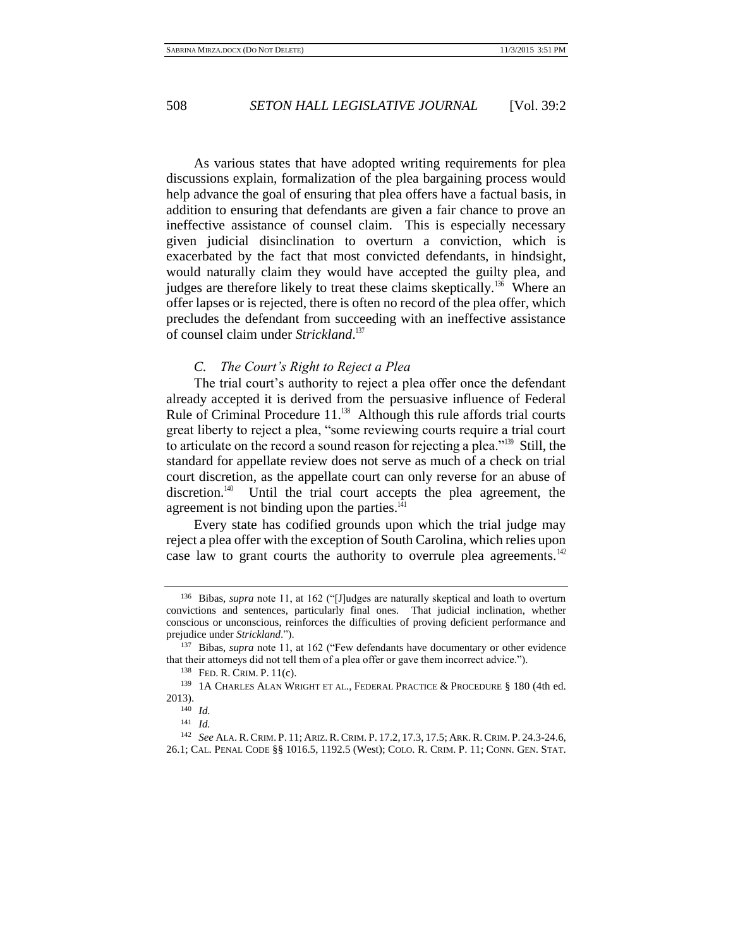As various states that have adopted writing requirements for plea discussions explain, formalization of the plea bargaining process would help advance the goal of ensuring that plea offers have a factual basis, in addition to ensuring that defendants are given a fair chance to prove an ineffective assistance of counsel claim. This is especially necessary given judicial disinclination to overturn a conviction, which is exacerbated by the fact that most convicted defendants, in hindsight, would naturally claim they would have accepted the guilty plea, and judges are therefore likely to treat these claims skeptically.<sup>136</sup> Where an offer lapses or is rejected, there is often no record of the plea offer, which precludes the defendant from succeeding with an ineffective assistance of counsel claim under *Strickland*. 137

### *C. The Court's Right to Reject a Plea*

The trial court's authority to reject a plea offer once the defendant already accepted it is derived from the persuasive influence of Federal Rule of Criminal Procedure  $11$ .<sup>138</sup> Although this rule affords trial courts great liberty to reject a plea, "some reviewing courts require a trial court to articulate on the record a sound reason for rejecting a plea."<sup>139</sup> Still, the standard for appellate review does not serve as much of a check on trial court discretion, as the appellate court can only reverse for an abuse of discretion.<sup>140</sup> Until the trial court accepts the plea agreement, the agreement is not binding upon the parties. $141$ 

Every state has codified grounds upon which the trial judge may reject a plea offer with the exception of South Carolina, which relies upon case law to grant courts the authority to overrule plea agreements.<sup>142</sup>

<sup>136</sup> Bibas, *supra* note 11, at 162 ("[J]udges are naturally skeptical and loath to overturn convictions and sentences, particularly final ones. That judicial inclination, whether conscious or unconscious, reinforces the difficulties of proving deficient performance and prejudice under *Strickland*.").

<sup>137</sup> Bibas, *supra* note 11, at 162 ("Few defendants have documentary or other evidence that their attorneys did not tell them of a plea offer or gave them incorrect advice.").

<sup>138</sup> FED. R. CRIM. P. 11(c).

<sup>139</sup> 1A CHARLES ALAN WRIGHT ET AL., FEDERAL PRACTICE & PROCEDURE § 180 (4th ed. 2013).

<sup>140</sup> *Id.*

<sup>141</sup> *Id.*

<sup>142</sup> *See* ALA.R.CRIM. P. 11; ARIZ.R.CRIM. P. 17.2, 17.3, 17.5; ARK.R.CRIM. P. 24.3-24.6, 26.1; CAL. PENAL CODE §§ 1016.5, 1192.5 (West); COLO. R. CRIM. P. 11; CONN. GEN. STAT.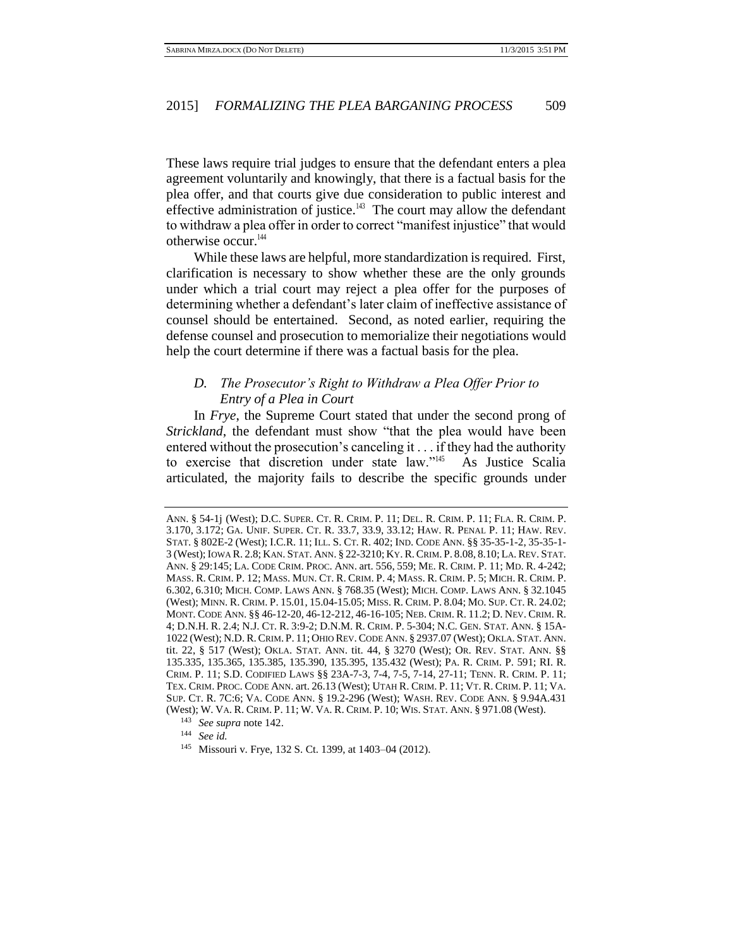These laws require trial judges to ensure that the defendant enters a plea agreement voluntarily and knowingly, that there is a factual basis for the plea offer, and that courts give due consideration to public interest and effective administration of justice. $143$  The court may allow the defendant to withdraw a plea offer in order to correct "manifest injustice" that would otherwise occur.<sup>144</sup>

While these laws are helpful, more standardization is required. First, clarification is necessary to show whether these are the only grounds under which a trial court may reject a plea offer for the purposes of determining whether a defendant's later claim of ineffective assistance of counsel should be entertained. Second, as noted earlier, requiring the defense counsel and prosecution to memorialize their negotiations would help the court determine if there was a factual basis for the plea.

# *D. The Prosecutor's Right to Withdraw a Plea Offer Prior to Entry of a Plea in Court*

In *Frye*, the Supreme Court stated that under the second prong of *Strickland*, the defendant must show "that the plea would have been entered without the prosecution's canceling it . . . if they had the authority to exercise that discretion under state law."<sup>145</sup> As Justice Scalia articulated, the majority fails to describe the specific grounds under

ANN. § 54-1j (West); D.C. SUPER. CT. R. CRIM. P. 11; DEL. R. CRIM. P. 11; FLA. R. CRIM. P. 3.170, 3.172; GA. UNIF. SUPER. CT. R. 33.7, 33.9, 33.12; HAW. R. PENAL P. 11; HAW. REV. STAT. § 802E-2 (West); I.C.R. 11; ILL. S. CT. R. 402; IND. CODE ANN. §§ 35-35-1-2, 35-35-1- 3 (West); IOWA R. 2.8; KAN. STAT. ANN. § 22-3210; KY. R.CRIM. P. 8.08, 8.10; LA. REV. STAT. ANN. § 29:145; LA. CODE CRIM. PROC. ANN. art. 556, 559; ME. R. CRIM. P. 11; MD. R. 4-242; MASS. R. CRIM. P. 12; MASS. MUN. CT. R. CRIM. P. 4; MASS. R. CRIM. P. 5; MICH. R. CRIM. P. 6.302, 6.310; MICH. COMP. LAWS ANN. § 768.35 (West); MICH. COMP. LAWS ANN. § 32.1045 (West); MINN. R. CRIM. P. 15.01, 15.04-15.05; MISS. R. CRIM. P. 8.04; MO. SUP. CT. R. 24.02; MONT. CODE ANN. §§ 46-12-20, 46-12-212, 46-16-105; NEB. CRIM. R. 11.2; D. NEV. CRIM. R. 4; D.N.H. R. 2.4; N.J. CT. R. 3:9-2; D.N.M. R. CRIM. P. 5-304; N.C. GEN. STAT. ANN. § 15A-1022 (West); N.D. R.CRIM. P. 11; OHIO REV. CODE ANN. § 2937.07 (West); OKLA. STAT. ANN. tit. 22, § 517 (West); OKLA. STAT. ANN. tit. 44, § 3270 (West); OR. REV. STAT. ANN. §§ 135.335, 135.365, 135.385, 135.390, 135.395, 135.432 (West); PA. R. CRIM. P. 591; RI. R. CRIM. P. 11; S.D. CODIFIED LAWS §§ 23A-7-3, 7-4, 7-5, 7-14, 27-11; TENN. R. CRIM. P. 11; TEX. CRIM. PROC. CODE ANN. art. 26.13 (West); UTAH R. CRIM. P. 11; VT. R. CRIM. P. 11; VA. SUP. CT. R. 7C:6; VA. CODE ANN. § 19.2-296 (West); WASH. REV. CODE ANN. § 9.94A.431 (West); W. VA. R. CRIM. P. 11; W. VA. R. CRIM. P. 10; WIS. STAT. ANN. § 971.08 (West).

<sup>143</sup> *See supra* note 142.

<sup>144</sup> *See id.*

<sup>145</sup> Missouri v. Frye, 132 S. Ct. 1399, at 1403–04 (2012).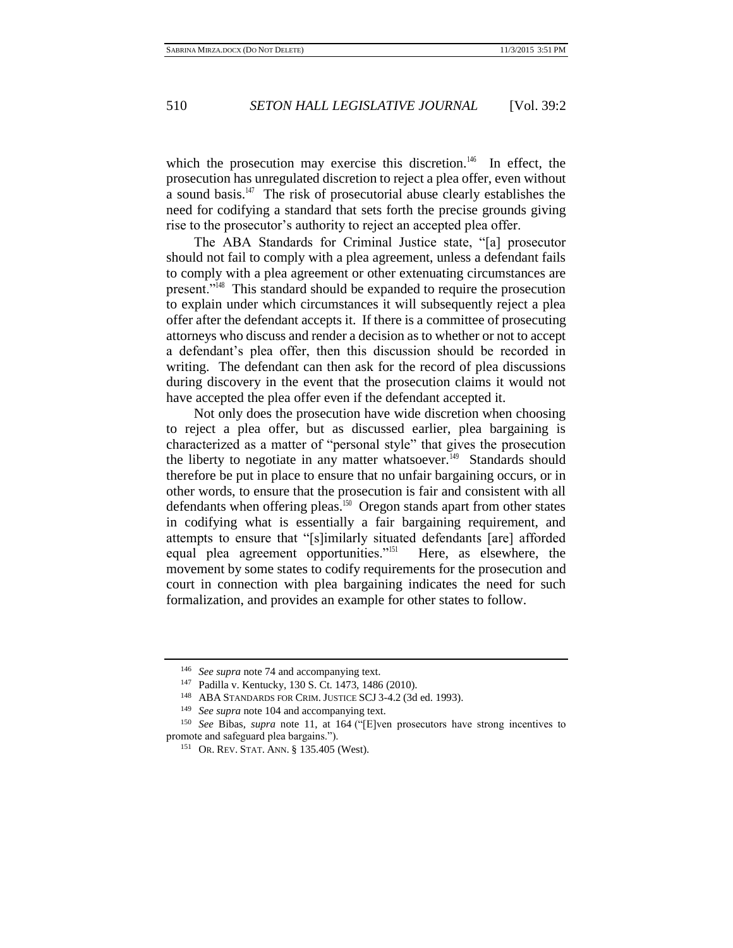which the prosecution may exercise this discretion.<sup>146</sup> In effect, the prosecution has unregulated discretion to reject a plea offer, even without a sound basis.<sup>147</sup> The risk of prosecutorial abuse clearly establishes the need for codifying a standard that sets forth the precise grounds giving rise to the prosecutor's authority to reject an accepted plea offer.

The ABA Standards for Criminal Justice state, "[a] prosecutor should not fail to comply with a plea agreement, unless a defendant fails to comply with a plea agreement or other extenuating circumstances are present."<sup>148</sup> This standard should be expanded to require the prosecution to explain under which circumstances it will subsequently reject a plea offer after the defendant accepts it. If there is a committee of prosecuting attorneys who discuss and render a decision as to whether or not to accept a defendant's plea offer, then this discussion should be recorded in writing. The defendant can then ask for the record of plea discussions during discovery in the event that the prosecution claims it would not have accepted the plea offer even if the defendant accepted it.

Not only does the prosecution have wide discretion when choosing to reject a plea offer, but as discussed earlier, plea bargaining is characterized as a matter of "personal style" that gives the prosecution the liberty to negotiate in any matter whatsoever.<sup>149</sup> Standards should therefore be put in place to ensure that no unfair bargaining occurs, or in other words, to ensure that the prosecution is fair and consistent with all defendants when offering pleas.<sup>150</sup> Oregon stands apart from other states in codifying what is essentially a fair bargaining requirement, and attempts to ensure that "[s]imilarly situated defendants [are] afforded equal plea agreement opportunities."<sup>151</sup> Here, as elsewhere, the movement by some states to codify requirements for the prosecution and court in connection with plea bargaining indicates the need for such formalization, and provides an example for other states to follow.

<sup>146</sup> *See supra* note 74 and accompanying text.

<sup>147</sup> Padilla v. Kentucky, 130 S. Ct. 1473, 1486 (2010).

<sup>148</sup> ABA STANDARDS FOR CRIM. JUSTICE SCJ 3-4.2 (3d ed. 1993).

<sup>149</sup> *See supra* note 104 and accompanying text.

<sup>150</sup> *See* Bibas, *supra* note 11, at 164 ("[E]ven prosecutors have strong incentives to promote and safeguard plea bargains.").

<sup>151</sup> OR. REV. STAT. ANN. § 135.405 (West).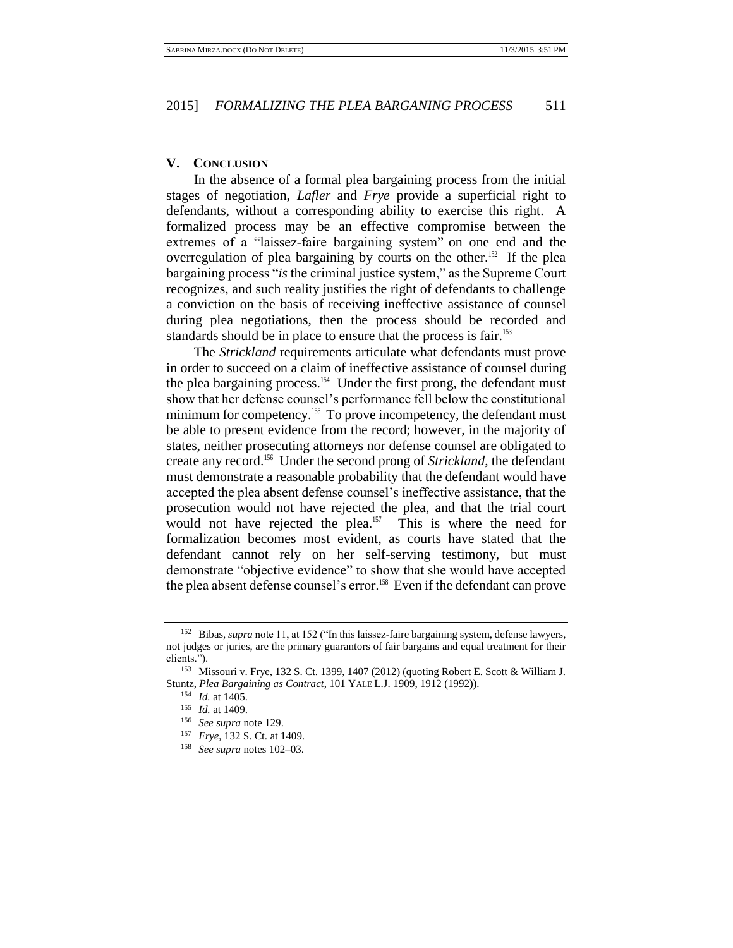# **V. CONCLUSION**

In the absence of a formal plea bargaining process from the initial stages of negotiation, *Lafler* and *Frye* provide a superficial right to defendants, without a corresponding ability to exercise this right. A formalized process may be an effective compromise between the extremes of a "laissez-faire bargaining system" on one end and the overregulation of plea bargaining by courts on the other.<sup>152</sup> If the plea bargaining process "*is* the criminal justice system," as the Supreme Court recognizes, and such reality justifies the right of defendants to challenge a conviction on the basis of receiving ineffective assistance of counsel during plea negotiations, then the process should be recorded and standards should be in place to ensure that the process is fair.<sup>153</sup>

The *Strickland* requirements articulate what defendants must prove in order to succeed on a claim of ineffective assistance of counsel during the plea bargaining process.<sup>154</sup> Under the first prong, the defendant must show that her defense counsel's performance fell below the constitutional minimum for competency.<sup>155</sup> To prove incompetency, the defendant must be able to present evidence from the record; however, in the majority of states, neither prosecuting attorneys nor defense counsel are obligated to create any record.<sup>156</sup> Under the second prong of *Strickland*, the defendant must demonstrate a reasonable probability that the defendant would have accepted the plea absent defense counsel's ineffective assistance, that the prosecution would not have rejected the plea, and that the trial court would not have rejected the plea. $157$  This is where the need for formalization becomes most evident, as courts have stated that the defendant cannot rely on her self-serving testimony, but must demonstrate "objective evidence" to show that she would have accepted the plea absent defense counsel's error.<sup>158</sup> Even if the defendant can prove

<sup>152</sup> Bibas, *supra* note 11, at 152 ("In this laissez-faire bargaining system, defense lawyers, not judges or juries, are the primary guarantors of fair bargains and equal treatment for their clients.").

<sup>153</sup> Missouri v. Frye, 132 S. Ct. 1399, 1407 (2012) (quoting Robert E. Scott & William J. Stuntz, *Plea Bargaining as Contract*, 101 YALE L.J. 1909, 1912 (1992)).

<sup>154</sup> *Id.* at 1405.

<sup>155</sup> *Id.* at 1409.

<sup>156</sup> *See supra* note 129.

<sup>157</sup> *Frye*, 132 S. Ct. at 1409.

<sup>158</sup> *See supra* notes 102–03.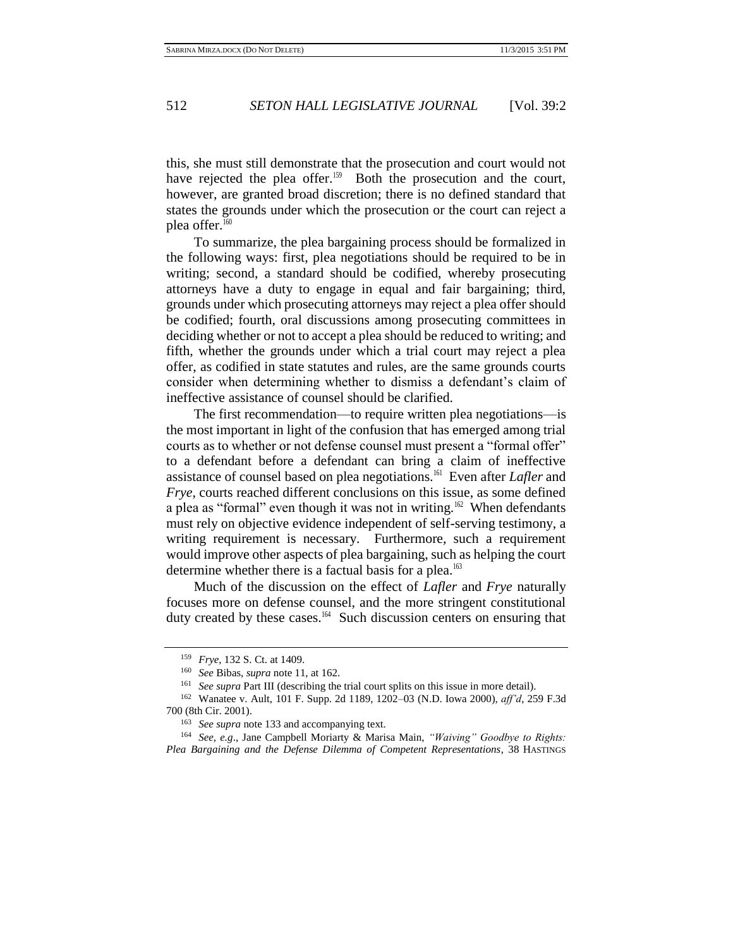this, she must still demonstrate that the prosecution and court would not have rejected the plea offer.<sup>159</sup> Both the prosecution and the court, however, are granted broad discretion; there is no defined standard that states the grounds under which the prosecution or the court can reject a plea offer.<sup>160</sup>

To summarize, the plea bargaining process should be formalized in the following ways: first, plea negotiations should be required to be in writing; second, a standard should be codified, whereby prosecuting attorneys have a duty to engage in equal and fair bargaining; third, grounds under which prosecuting attorneys may reject a plea offer should be codified; fourth, oral discussions among prosecuting committees in deciding whether or not to accept a plea should be reduced to writing; and fifth, whether the grounds under which a trial court may reject a plea offer, as codified in state statutes and rules, are the same grounds courts consider when determining whether to dismiss a defendant's claim of ineffective assistance of counsel should be clarified.

The first recommendation—to require written plea negotiations—is the most important in light of the confusion that has emerged among trial courts as to whether or not defense counsel must present a "formal offer" to a defendant before a defendant can bring a claim of ineffective assistance of counsel based on plea negotiations.<sup>161</sup> Even after *Lafler* and *Frye*, courts reached different conclusions on this issue, as some defined a plea as "formal" even though it was not in writing.<sup>162</sup> When defendants must rely on objective evidence independent of self-serving testimony, a writing requirement is necessary. Furthermore, such a requirement would improve other aspects of plea bargaining, such as helping the court determine whether there is a factual basis for a plea.<sup>163</sup>

Much of the discussion on the effect of *Lafler* and *Frye* naturally focuses more on defense counsel, and the more stringent constitutional duty created by these cases.<sup>164</sup> Such discussion centers on ensuring that

<sup>159</sup> *Frye*, 132 S. Ct. at 1409.

<sup>160</sup> *See* Bibas, *supra* note 11, at 162.

<sup>&</sup>lt;sup>161</sup> *See supra* Part III (describing the trial court splits on this issue in more detail).

<sup>162</sup> Wanatee v. Ault, 101 F. Supp. 2d 1189, 1202–03 (N.D. Iowa 2000), *aff'd*, 259 F.3d 700 (8th Cir. 2001).

<sup>163</sup> *See supra* note 133 and accompanying text.

<sup>164</sup> *See, e.g*., Jane Campbell Moriarty & Marisa Main, *"Waiving" Goodbye to Rights: Plea Bargaining and the Defense Dilemma of Competent Representations*, 38 HASTINGS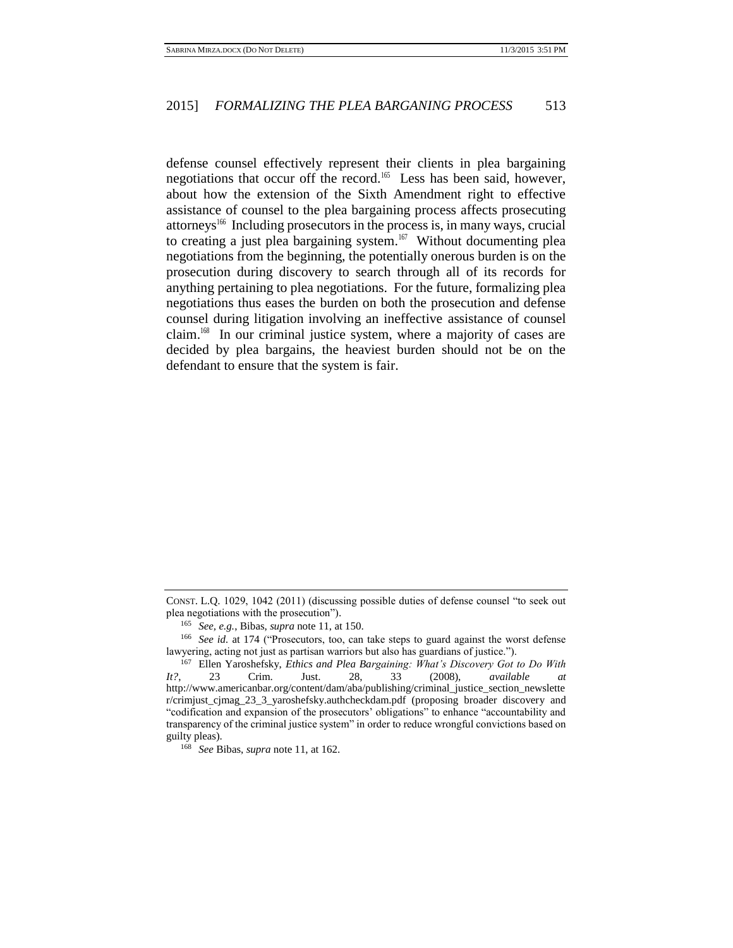defense counsel effectively represent their clients in plea bargaining negotiations that occur off the record.<sup>165</sup> Less has been said, however, about how the extension of the Sixth Amendment right to effective assistance of counsel to the plea bargaining process affects prosecuting attorneys<sup>166</sup> Including prosecutors in the process is, in many ways, crucial to creating a just plea bargaining system.<sup>167</sup> Without documenting plea negotiations from the beginning, the potentially onerous burden is on the prosecution during discovery to search through all of its records for anything pertaining to plea negotiations. For the future, formalizing plea negotiations thus eases the burden on both the prosecution and defense counsel during litigation involving an ineffective assistance of counsel claim.<sup>168</sup> In our criminal justice system, where a majority of cases are decided by plea bargains, the heaviest burden should not be on the defendant to ensure that the system is fair.

CONST. L.Q. 1029, 1042 (2011) (discussing possible duties of defense counsel "to seek out plea negotiations with the prosecution").

<sup>165</sup> *See, e.g.*, Bibas, *supra* note 11, at 150.

<sup>166</sup> *See id.* at 174 ("Prosecutors, too, can take steps to guard against the worst defense lawyering, acting not just as partisan warriors but also has guardians of justice.").

<sup>167</sup> Ellen Yaroshefsky, *Ethics and Plea Bargaining: What's Discovery Got to Do With It?*, 23 Crim. Just. 28, 33 (2008), *available at*  http://www.americanbar.org/content/dam/aba/publishing/criminal\_justice\_section\_newslette r/crimjust\_cjmag\_23\_3\_yaroshefsky.authcheckdam.pdf (proposing broader discovery and "codification and expansion of the prosecutors' obligations" to enhance "accountability and transparency of the criminal justice system" in order to reduce wrongful convictions based on guilty pleas).

<sup>168</sup> *See* Bibas, *supra* note 11, at 162.